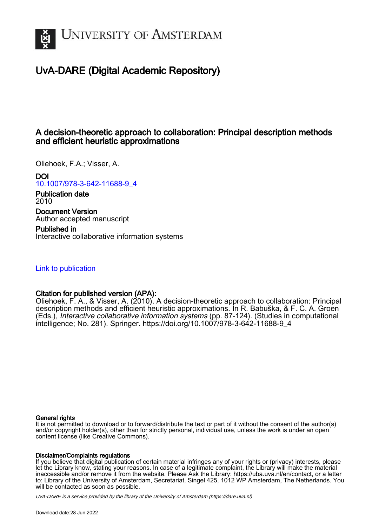

# UvA-DARE (Digital Academic Repository)

# A decision-theoretic approach to collaboration: Principal description methods and efficient heuristic approximations

Oliehoek, F.A.; Visser, A.

## DOI

[10.1007/978-3-642-11688-9\\_4](https://doi.org/10.1007/978-3-642-11688-9_4)

Publication date 2010

Document Version Author accepted manuscript

Published in Interactive collaborative information systems

[Link to publication](https://dare.uva.nl/personal/pure/en/publications/a-decisiontheoretic-approach-to-collaboration-principal-description-methods-and-efficient-heuristic-approximations(72866c99-ffd0-46f2-9410-42f5d58d4bae).html)

## Citation for published version (APA):

Oliehoek, F. A., & Visser, A. (2010). A decision-theoretic approach to collaboration: Principal description methods and efficient heuristic approximations. In R. Babuška, & F. C. A. Groen (Eds.), Interactive collaborative information systems (pp. 87-124). (Studies in computational intelligence; No. 281). Springer. [https://doi.org/10.1007/978-3-642-11688-9\\_4](https://doi.org/10.1007/978-3-642-11688-9_4)

### General rights

It is not permitted to download or to forward/distribute the text or part of it without the consent of the author(s) and/or copyright holder(s), other than for strictly personal, individual use, unless the work is under an open content license (like Creative Commons).

### Disclaimer/Complaints regulations

If you believe that digital publication of certain material infringes any of your rights or (privacy) interests, please let the Library know, stating your reasons. In case of a legitimate complaint, the Library will make the material inaccessible and/or remove it from the website. Please Ask the Library: https://uba.uva.nl/en/contact, or a letter to: Library of the University of Amsterdam, Secretariat, Singel 425, 1012 WP Amsterdam, The Netherlands. You will be contacted as soon as possible.

UvA-DARE is a service provided by the library of the University of Amsterdam (http*s*://dare.uva.nl)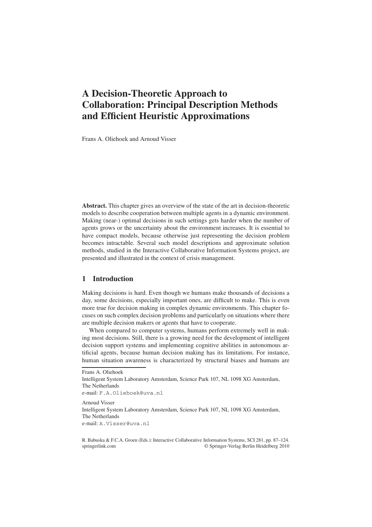# **A Decision-Theoretic Approach to Collaboration: Principal Description Methods and Efficient Heuristic Approximations**

Frans A. Oliehoek and Arnoud Visser

**Abstract.** This chapter gives an overview of the state of the art in decision-theoretic models to describe cooperation between multiple agents in a dynamic environment. Making (near-) optimal decisions in such settings gets harder when the number of agents grows or the uncertainty about the environment increases. It is essential to have compact models, because otherwise just representing the decision problem becomes intractable. Several such model descriptions and approximate solution methods, studied in the Interactive Collaborative Information Systems project, are presented and illustrated in the context of crisis management.

### **1 Introduction**

Making decisions is hard. Even though we humans make thousands of decisions a day, some decisions, especially important ones, are difficult to make. This is even more true for decision making in complex dynamic environments. This chapter focuses on such complex decision problems and particularly on situations where there are multiple decision makers or agents that have to cooperate.

When compared to computer systems, humans perform extremely well in making most decisions. Still, there is a growing need for the development of intelligent decision support systems and implementing cognitive abilities in autonomous artificial agents, because human decision making has its limitations. For instance, human situation awareness is characterized by structural biases and humans are

Frans A. Oliehoek Intelligent System Laboratory Amsterdam, Science Park 107, NL 1098 XG Amsterdam, The Netherlands e-mail: <F.A.Oliehoek@uva.nl> Arnoud Visser Intelligent System Laboratory Amsterdam, Science Park 107, NL 1098 XG Amsterdam, The Netherlands

e-mail: <A.Visser@uva.nl>

R. Babuska & F.C.A. Groen (Eds.): Interactive Collaborative Information Systems, SCI 281, pp. 87–124. springerlink.com © Springer-Verlag Berlin Heidelberg 2010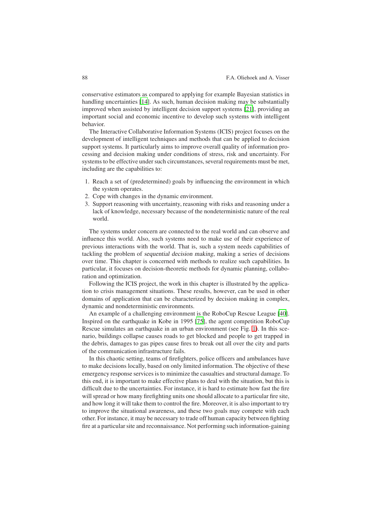conservative estimators as compared to applying for example Bayesian statistics in handling uncertainties [14]. As such, human decision making may be substantially improved when assisted by intelligent decision support systems [21], providing an important social and economic incentive to develop such systems with intelligent behavior.

The Interactive Collaborative Information Systems (ICIS) project focuses on the development of intelligent techniques and methods that can be applied to decision support systems. It particularly aims to improve overall quality of information processing and decision making under conditions of stress, risk and uncertainty. For systems to be effective under such circumstances, several requirements must be met, including are the capabilities to:

- 1. Reach a set of (predetermined) goals by influencing the environment in which the system operates.
- 2. Cope with changes in the dynamic environment.
- 3. Support reasoning with uncertainty, reasoning with risks and reasoning under a lack of knowledge, necessary because of the nondeterministic nature of the real world.

The systems under concern are connected to the real world and can observe and influence this world. Also, such systems need to make use of their experience of previous interactions with the world. That is, such a system needs capabilities of tackling the problem of sequential decision making, making a series of decisions over time. This chapter is concerned with methods to realize such capabilities. In particular, it focuses on decision-theoretic methods for dynamic planning, collaboration and optimization.

Following the ICIS project, the work in this chapter is illustrated by the application to crisis management situations. These results, however, can be used in other domains of application that can be characterized by decision making in complex, dynamic and nondeterministic environments.

An example of a challenging environment is the RoboCup Rescue League [40]. Inspired on the earthquake in Kobe in 1995 [75], the agent competition RoboCup Rescue simulates an earthquake in an urban environment (see Fig. 1). In this scenario, buildings collapse causes roads to get blocked and people to get trapped in the debris, damages to gas pipes cause fires to break out all over the city and parts of the communication infrastructure fails.

In this chaotic setting, teams of firefighters, police officers and ambulances have to make decisions locally, based on only limited information. The objective of these emergency response services is to minimize the casualties and structural damage. To this end, it is important to make effective plans to deal with the situation, but this is difficult due to the uncertainties. For instance, it is hard to estimate how fast the fire will spread or how many firefighting units one should allocate to a particular fire site, and how long it will take them to control the fire. Moreover, it is also important to try to improve the situational awareness, and these two goals may compete with each other. For instance, it may be necessary to trade off human capacity between fighting fire at a particular site and reconnaissance. Not performing such information-gaining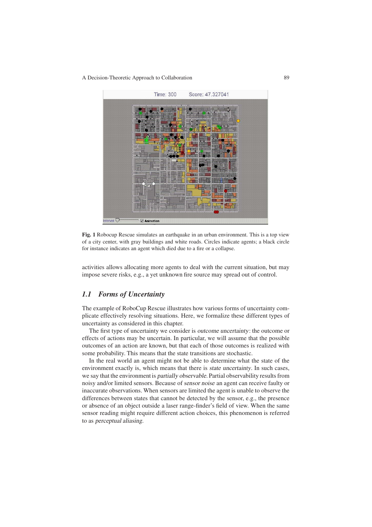

**Fig. 1** Robocup Rescue simulates an earthquake in an urban environment. This is a top view of a city center, with gray buildings and white roads. Circles indicate agents; a black circle for instance indicates an agent which died due to a fire or a collapse.

activities allows allocating more agents to deal with the current situation, but may impose severe risks, e.g., a yet unknown fire source may spread out of control.

### *1.1 Forms of Uncertainty*

The example of RoboCup Rescue illustrates how various forms of uncertainty complicate effectively resolving situations. Here, we formalize these different types of uncertainty as considered in this chapter.

The first type of uncertainty we consider is outcome uncertainty: the outcome or effects of actions may be uncertain. In particular, we will assume that the possible outcomes of an action are known, but that each of those outcomes is realized with some probability. This means that the state transitions are stochastic.

In the real world an agent might not be able to determine what the state of the environment exactly is, which means that there is state uncertainty. In such cases, we say that the environment is partially observable. Partial observability results from noisy and/or limited sensors. Because of sensor noise an agent can receive faulty or inaccurate observations. When sensors are limited the agent is unable to observe the differences between states that cannot be detected by the sensor, e.g., the presence or absence of an object outside a laser range-finder's field of view. When the same sensor reading might require different action choices, this phenomenon is referred to as perceptual aliasing.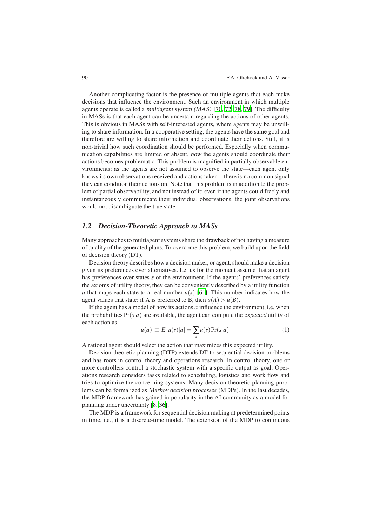Another complicating factor is the presence of multiple agents that each make decisions that influence the environment. Such an environment in which multiple agents operate is called a multiagent system (MAS) [70, 72, 78, 79]. The difficulty in MASs is that each agent can be uncertain regarding the actions of other agents. This is obvious in MASs with self-interested agents, where agents may be unwilling to share information. In a cooperative setting, the agents have the same goal and therefore are willing to share information and coordinate their actions. Still, it is non-trivial how such coordination should be performed. Especially when communication capabilities are limited or absent, how the agents should coordinate their actions becomes problematic. This problem is magnified in partially observable environments: as the agents are not assumed to observe the state—each agent only knows its own observations received and actions taken—there is no common signal they can condition their actions on. Note that this problem is in addition to the problem of partial observability, and not instead of it; even if the agents could freely and instantaneously communicate their individual observations, the joint observations would not disambiguate the true state.

#### *1.2 Decision-Theoretic Approach to MASs*

Many approaches to multiagent systems share the drawback of not having a measure of quality of the generated plans. To overcome this problem, we build upon the field of decision theory (DT).

Decision theory describes how a decision maker, or agent, should make a decision given its preferences over alternatives. Let us for the moment assume that an agent has preferences over states *s* of the environment. If the agents' preferences satisfy the axioms of utility theory, they can be conveniently described by a utility function *u* that maps each state to a real number  $u(s)$  [61]. This number indicates how the agent values that state: if A is preferred to B, then  $u(A) > u(B)$ .

If the agent has a model of how its actions *a* influence the environment, i.e. when the probabilities  $Pr(s|a)$  are available, the agent can compute the expected utility of each action as

$$
u(a) \equiv E[u(s)|a] = \sum_{s} u(s) \Pr(s|a). \tag{1}
$$

A rational agent should select the action that maximizes this expected utility.

Decision-theoretic planning (DTP) extends DT to sequential decision problems and has roots in control theory and operations research. In control theory, one or more controllers control a stochastic system with a specific output as goal. Operations research considers tasks related to scheduling, logistics and work flow and tries to optimize the concerning systems. Many decision-theoretic planning problems can be formalized as Markov decision processes (MDPs). In the last decades, the MDP framework has gained in popularity in the AI community as a model for planning under uncertainty [8, 36].

The MDP is a framework for sequential decision making at predetermined points in time, i.e., it is a discrete-time model. The extension of the MDP to continuous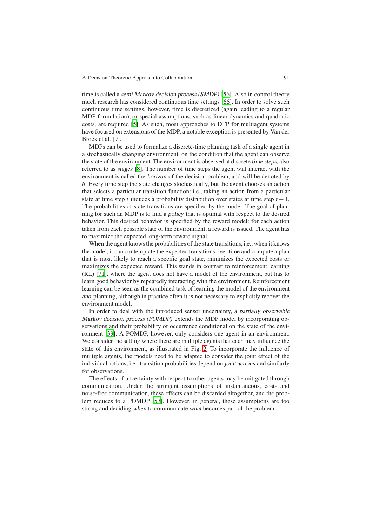time is called a semi Markov decision process (SMDP) [56]. Also in control theory much research has considered continuous time settings [66]. In order to solve such continuous time settings, however, time is discretized (again leading to a regular MDP formulation), or special assumptions, such as linear dynamics and quadratic costs, are required [5]. As such, most approaches to DTP for multiagent systems have focused on extensions of the MDP, a notable exception is presented by Van der Broek et al. [9].

MDPs can be used to formalize a discrete-time planning task of a single agent in a stochastically changing environment, on the condition that the agent can observe the state of the environment. The environment is observed at discrete time steps, also referred to as stages [8]. The number of time steps the agent will interact with the environment is called the horizon of the decision problem, and will be denoted by *h*. Every time step the state changes stochastically, but the agent chooses an action that selects a particular transition function: i.e., taking an action from a particular state at time step *t* induces a probability distribution over states at time step  $t + 1$ . The probabilities of state transitions are specified by the model. The goal of planning for such an MDP is to find a policy that is optimal with respect to the desired behavior. This desired behavior is specified by the reward model: for each action taken from each possible state of the environment, a reward is issued. The agent has to maximize the expected long-term reward signal.

When the agent knows the probabilities of the state transitions, i.e., when it knows the model, it can contemplate the expected transitions over time and compute a plan that is most likely to reach a specific goal state, minimizes the expected costs or maximizes the expected reward. This stands in contrast to reinforcement learning (RL) [71], where the agent does not have a model of the environment, but has to learn good behavior by repeatedly interacting with the environment. Reinforcement learning can be seen as the combined task of learning the model of the environment and planning, although in practice often it is not necessary to explicitly recover the environment model.

In order to deal with the introduced sensor uncertainty, a partially observable Markov decision process (POMDP) extends the MDP model by incorporating observations and their probability of occurrence conditional on the state of the environment [39]. A POMDP, however, only considers one agent in an environment. We consider the setting where there are multiple agents that each may influence the state of this environment, as illustrated in Fig. 2. To incorporate the influence of multiple agents, the models need to be adapted to consider the joint effect of the individual actions, i.e., transition probabilities depend on joint actions and similarly for observations.

The effects of uncertainty with respect to other agents may be mitigated through communication. Under the stringent assumptions of instantaneous, cost- and noise-free communication, these effects can be discarded altogether, and the problem reduces to a POMDP [57]. However, in general, these assumptions are too strong and deciding when to communicate what becomes part of the problem.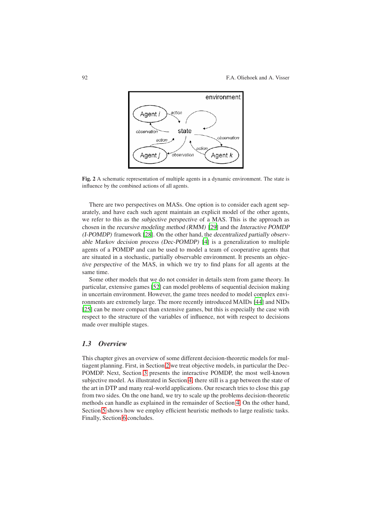

**Fig. 2** A schematic representation of multiple agents in a dynamic environment. The state is influence by the combined actions of all agents.

There are two perspectives on MASs. One option is to consider each agent separately, and have each such agent maintain an explicit model of the other agents, we refer to this as the subjective perspective of a MAS. This is the approach as chosen in the recursive modeling method (RMM) [29] and the Interactive POMDP (I-POMDP) framework [28]. On the other hand, the decentralized partially observable Markov decision process (Dec-POMDP) [4] is a generalization to multiple agents of a POMDP and can be used to model a team of cooperative agents that are situated in a stochastic, partially observable environment. It presents an objective perspective of the MAS, in which we try to find plans for all agents at the same time.

Some other models that we do not consider in details stem from game theory. In particular, extensive games [52] can model problems of sequential decision making in uncertain environment. However, the game trees needed to model complex environments are extremely large. The more recently introduced MAIDs [44] and NIDs [25] can be more compact than extensive games, but this is especially the case with respect to the structure of the variables of influence, not with respect to decisions made over multiple stages.

### *1.3 Overview*

This chapter gives an overview of some different decision-theoretic models for multiagent planning. First, in Section 2 we treat objective models, in particular the Dec-POMDP. Next, Section 3 presents the interactive POMDP, the most well-known subjective model. As illustrated in Section 4, there still is a gap between the state of the art in DTP and many real-world applications. Our research tries to close this gap from two sides. On the one hand, we try to scale up the problems decision-theoretic methods can handle as explained in the remainder of Section 4. On the other hand, Section 5 shows how we employ efficient heuristic methods to large realistic tasks. Finally, Section 6 concludes.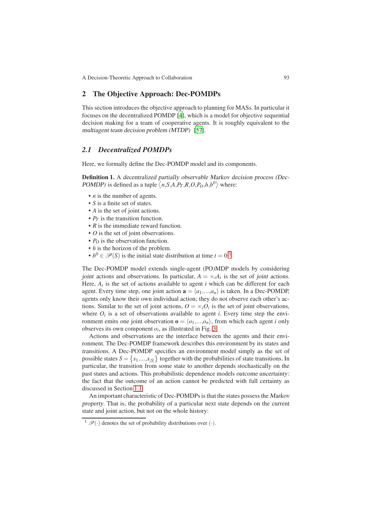### **2 The Objective Approach: Dec-POMDPs**

This section introduces the objective approach to planning for MASs. In particular it focuses on the decentralized POMDP [4], which is a model for objective sequential decision making for a team of cooperative agents. It is roughly equivalent to the multiagent team decision problem (MTDP) [57].

### *2.1 Decentralized POMDPs*

Here, we formally define the Dec-POMDP model and its components.

**Definition 1.** A decentralized partially observable Markov decision process (Dec-POMDP) is defined as a tuple  $\langle n, S, A, P_T, R, O, P_O, h, b^0 \rangle$  where:

- *n* is the number of agents.
- *S* is a finite set of states.
- *A* is the set of joint actions.
- $P_T$  is the transition function.
- *R* is the immediate reward function.
- *O* is the set of joint observations.
- $P<sub>O</sub>$  is the observation function.
- *h* is the horizon of the problem.
- $b^0 \in \mathcal{P}(S)$  is the initial state distribution at time  $t = 0$ <sup>1</sup>

The Dec-POMDP model extends single-agent (PO)MDP models by considering joint actions and observations. In particular,  $A = \times_i A_i$  is the set of joint actions. Here,  $A_i$  is the set of actions available to agent  $i$  which can be different for each agent. Every time step, one joint action  $\mathbf{a} = \langle a_1,...,a_n \rangle$  is taken. In a Dec-POMDP, agents only know their own individual action; they do not observe each other's actions. Similar to the set of joint actions,  $O = \times_i O_i$  is the set of joint observations, where  $O_i$  is a set of observations available to agent *i*. Every time step the environment emits one joint observation  $\mathbf{o} = \langle o_1, \dots, o_n \rangle$ , from which each agent *i* only observes its own component  $o_i$ , as illustrated in Fig. 3.

Actions and observations are the interface between the agents and their environment. The Dec-POMDP framework describes this environment by its states and transitions. A Dec-POMDP specifies an environment model simply as the set of possible states  $S = \{s_1, ..., s_{|S|}\}$  together with the probabilities of state transitions. In particular, the transition from some state to another depends stochastically on the past states and actions. This probabilistic dependence models outcome uncertainty: the fact that the outcome of an action cannot be predicted with full certainty as discussed in Section 1.1.

An important characteristic of Dec-POMDPs is that the states possess the Markov property. That is, the probability of a particular next state depends on the current state and joint action, but not on the whole history:

<sup>&</sup>lt;sup>1</sup>  $\mathscr{P}(\cdot)$  denotes the set of probability distributions over (·).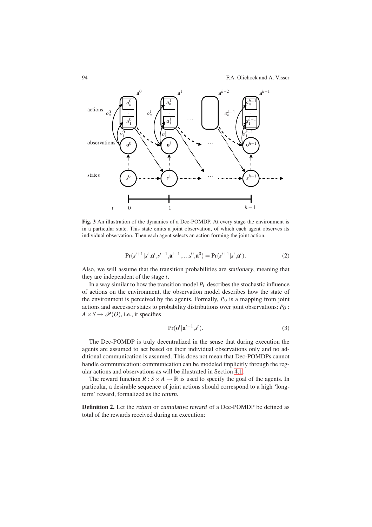

**Fig. 3** An illustration of the dynamics of a Dec-POMDP. At every stage the environment is in a particular state. This state emits a joint observation, of which each agent observes its individual observation. Then each agent selects an action forming the joint action.

$$
Pr(s^{t+1} | s^t, a^t, s^{t-1}, a^{t-1}, \dots, s^0, a^0) = Pr(s^{t+1} | s^t, a^t).
$$
 (2)

Also, we will assume that the transition probabilities are stationary, meaning that they are independent of the stage *t*.

In a way similar to how the transition model  $P_T$  describes the stochastic influence of actions on the environment, the observation model describes how the state of the environment is perceived by the agents. Formally,  $P_O$  is a mapping from joint actions and successor states to probability distributions over joint observations:  $P<sub>O</sub>$ :  $A \times S \rightarrow \mathcal{P}(O)$ , i.e., it specifies

$$
Pr(\mathbf{o}^{t}|\mathbf{a}^{t-1}, s^{t}).
$$
\n(3)

The Dec-POMDP is truly decentralized in the sense that during execution the agents are assumed to act based on their individual observations only and no additional communication is assumed. This does not mean that Dec-POMDPs cannot handle communication: communication can be modeled implicitly through the regular actions and observations as will be illustrated in Section 4.1.

The reward function  $R : S \times A \rightarrow \mathbb{R}$  is used to specify the goal of the agents. In particular, a desirable sequence of joint actions should correspond to a high 'longterm' reward, formalized as the return.

**Definition 2.** Let the return or cumulative reward of a Dec-POMDP be defined as total of the rewards received during an execution: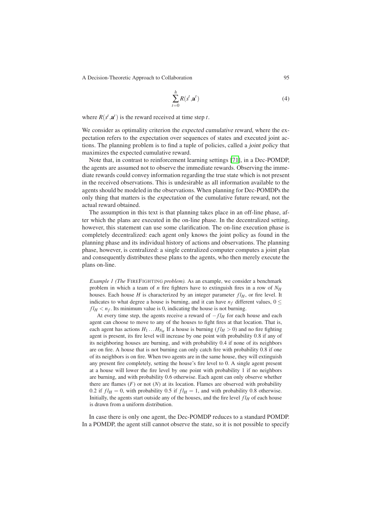$$
\sum_{t=0}^{h} R(s^t, \mathbf{a}^t) \tag{4}
$$

where  $R(s^t, \mathbf{a}^t)$  is the reward received at time step *t*.

We consider as optimality criterion the expected cumulative reward, where the expectation refers to the expectation over sequences of states and executed joint actions. The planning problem is to find a tuple of policies, called a joint policy that maximizes the expected cumulative reward.

Note that, in contrast to reinforcement learning settings [71], in a Dec-POMDP, the agents are assumed not to observe the immediate rewards. Observing the immediate rewards could convey information regarding the true state which is not present in the received observations. This is undesirable as all information available to the agents should be modeled in the observations. When planning for Dec-POMDPs the only thing that matters is the expectation of the cumulative future reward, not the actual reward obtained.

The assumption in this text is that planning takes place in an off-line phase, after which the plans are executed in the on-line phase. In the decentralized setting, however, this statement can use some clarification. The on-line execution phase is completely decentralized: each agent only knows the joint policy as found in the planning phase and its individual history of actions and observations. The planning phase, however, is centralized: a single centralized computer computes a joint plan and consequently distributes these plans to the agents, who then merely execute the plans on-line.

*Example 1 (The* FIREFIGHTING *problem).* As an example, we consider a benchmark problem in which a team of *n* fire fighters have to extinguish fires in a row of  $N_H$ houses. Each house *H* is characterized by an integer parameter  $f\mathit{H}_{H}$ , or fire level. It indicates to what degree a house is burning, and it can have  $n_f$  different values,  $0 \leq$  $f l_H < n_f$ . Its minimum value is 0, indicating the house is not burning.

At every time step, the agents receive a reward of −*f lH* for each house and each agent can choose to move to any of the houses to fight fires at that location. That is, each agent has actions  $H_1 \dots H_{N_H}$  If a house is burning  $(f \mid H > 0)$  and no fire fighting agent is present, its fire level will increase by one point with probability 0.8 if any of its neighboring houses are burning, and with probability 0.4 if none of its neighbors are on fire. A house that is not burning can only catch fire with probability 0.8 if one of its neighbors is on fire. When two agents are in the same house, they will extinguish any present fire completely, setting the house's fire level to 0. A single agent present at a house will lower the fire level by one point with probability 1 if no neighbors are burning, and with probability 0.6 otherwise. Each agent can only observe whether there are flames  $(F)$  or not  $(N)$  at its location. Flames are observed with probability 0.2 if  $fl_H = 0$ , with probability 0.5 if  $fl_H = 1$ , and with probability 0.8 otherwise. Initially, the agents start outside any of the houses, and the fire level  $f \mathcal{H}_H$  of each house is drawn from a uniform distribution.

In case there is only one agent, the Dec-POMDP reduces to a standard POMDP. In a POMDP, the agent still cannot observe the state, so it is not possible to specify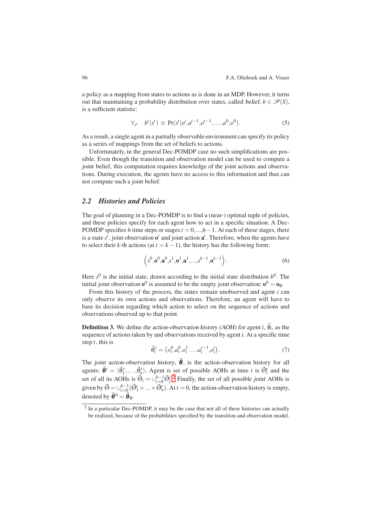a policy as a mapping from states to actions as is done in an MDP. However, it turns out that maintaining a probability distribution over states, called *belief*,  $b \in \mathcal{P}(S)$ , is a sufficient statistic:

$$
\forall_{s'} \quad b^t(s^t) \equiv \Pr(s^t | o^t, a^{t-1}, o^{t-1}, \dots, a^0, o^0). \tag{5}
$$

As a result, a single agent in a partially observable environment can specify its policy as a series of mappings from the set of beliefs to actions.

Unfortunately, in the general Dec-POMDP case no such simplifications are possible. Even though the transition and observation model can be used to compute a joint belief, this computation requires knowledge of the joint actions and observations. During execution, the agents have no access to this information and thus can not compute such a joint belief.

### *2.2 Histories and Policies*

The goal of planning in a Dec-POMDP is to find a (near-) optimal tuple of policies, and these policies specify for each agent how to act in a specific situation. A Dec-POMDP specifies *h* time steps or stages  $t = 0,...,h-1$ . At each of these stages, there is a state *st* , joint observation **o***<sup>t</sup>* and joint action **a***<sup>t</sup>* . Therefore, when the agents have to select their *k*-th actions (at  $t = k - 1$ ), the history has the following form:

$$
\left(s^{0},\mathbf{a}^{0},\mathbf{a}^{0},s^{1},\mathbf{o}^{1},\mathbf{a}^{1},\ldots,s^{k-1},\mathbf{o}^{k-1}\right).
$$
 (6)

Here  $s^0$  is the initial state, drawn according to the initial state distribution  $b^0$ . The initial joint observation  $\mathbf{o}^0$  is assumed to be the empty joint observation:  $\mathbf{o}^0 = \mathbf{o}_0$ .

From this history of the process, the states remain unobserved and agent *i* can only observe its own actions and observations. Therefore, an agent will have to base its decision regarding which action to select on the sequence of actions and observations observed up to that point.

**Definition 3.** We define the action-observation history (AOH) for agent *i*, <sup>θ</sup>*i*, as the sequence of actions taken by and observations received by agent *i*. At a specific time step *<sup>t</sup>*, this is

$$
\vec{\theta}_i^t = \left( o_i^0, a_i^0, o_i^1 \dots, a_i^{t-1}, o_i^t \right). \tag{7}
$$

The joint action-observation history,  $\vec{\theta}$ , is the action-observation history for all agents:  $\vec{\theta}^t = \langle \vec{\theta}_1^t, \dots, \vec{\theta}_n^t \rangle$ . Agent *i*s set of possible AOHs at time *t* is  $\vec{\Theta}_i^t$  and the set of all its AOHs is  $\vec{\Theta}_i = \bigcup_{t=0}^{h-1} \vec{\Theta}_i^t$ .<sup>2</sup> Finally, the set of all possible *joint* AOHs is given by  $\vec{\Theta} = \cup_{t=0}^{h-1} (\vec{\Theta}'_1 \times ... \times \vec{\Theta}'_n)$ . At  $t=0$ , the action-observation history is empty, denoted by  $\vec{\theta}^0 = \vec{\theta}_0$ .

 $2 \text{ In a particular Dec-POMDP, it may be the case that not all of these histories can actually$ be realized, because of the probabilities specified by the transition and observation model.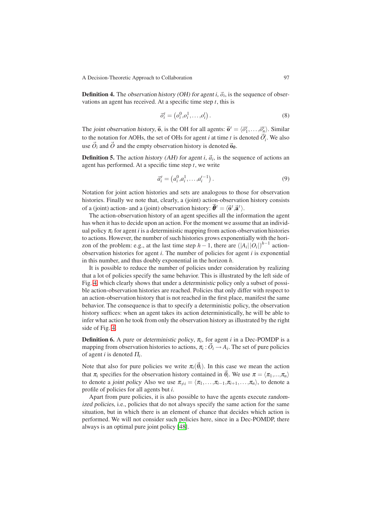**Definition 4.** The observation history (OH) for agent  $i$ ,  $\vec{o}_i$ , is the sequence of observations an agent has received. At a specific time step *t*, this is

$$
\vec{o}_i^t = \left(o_i^0, o_i^1, \dots, o_i^t\right). \tag{8}
$$

The joint observation history,  $\vec{\mathbf{o}}$ , is the OH for all agents:  $\vec{\mathbf{o}}^t = \langle \vec{o}_1^t, \dots, \vec{o}_n^t \rangle$ . Similar to the notation for AOHs, the set of OHs for agent *i* at time *t* is denoted  $\vec{O}_i^t$ . We also use  $\vec{O}_i$  and  $\vec{O}$  and the empty observation history is denoted  $\vec{o}_\emptyset$ .

**Definition 5.** The action history (AH) for agent  $i$ ,  $\vec{a}_i$ , is the sequence of actions an agent has performed. At a specific time step *t*, we write

$$
\vec{a}_i^t = \left(a_i^0, a_i^1, \dots, a_i^{t-1}\right). \tag{9}
$$

Notation for joint action histories and sets are analogous to those for observation histories. Finally we note that, clearly, a (joint) action-observation history consists of a (joint) action- and a (joint) observation history:  $\vec{\theta}^t = \langle \vec{\sigma}^t, \vec{a}^t \rangle$ .

The action-observation history of an agent specifies all the information the agent has when it has to decide upon an action. For the moment we assume that an individual policy  $\pi$ <sup>*i*</sup> for agent *i* is a deterministic mapping from action-observation histories to actions. However, the number of such histories grows exponentially with the horizon of the problem: e.g., at the last time step *h* − 1, there are  $(|A_i| |O_i|)^{h-1}$  actionobservation histories for agent *i*. The number of policies for agent *i* is exponential in this number, and thus doubly exponential in the horizon *h*.

It is possible to reduce the number of policies under consideration by realizing that a lot of policies specify the same behavior. This is illustrated by the left side of Fig. 4, which clearly shows that under a deterministic policy only a subset of possible action-observation histories are reached. Policies that only differ with respect to an action-observation history that is not reached in the first place, manifest the same behavior. The consequence is that to specify a deterministic policy, the observation history suffices: when an agent takes its action deterministically, he will be able to infer what action he took from only the observation history as illustrated by the right side of Fig. 4.

**Definition 6.** A pure or deterministic policy,  $\pi_i$ , for agent *i* in a Dec-POMDP is a mapping from observation histories to actions,  $\pi_i : \vec{O}_i \rightarrow A_i$ . The set of pure policies of agent *i* is denoted <sup>Π</sup>*i*.

Note that also for pure policies we write  $\pi_i(\vec{\theta}_i)$ . In this case we mean the action that  $\pi_i$  specifies for the observation history contained in  $\vec{\theta}_i$ . We use  $\pi = \langle \pi_1,...,\pi_n \rangle$ to denote a joint policy Also we use  $\pi_{\neq i} = \langle \pi_1, \ldots, \pi_{i-1}, \pi_{i+1}, \ldots, \pi_n \rangle$ , to denote a profile of policies for all agents but *i*.

Apart from pure policies, it is also possible to have the agents execute randomized policies, i.e., policies that do not always specify the same action for the same situation, but in which there is an element of chance that decides which action is performed. We will not consider such policies here, since in a Dec-POMDP, there always is an optimal pure joint policy [48].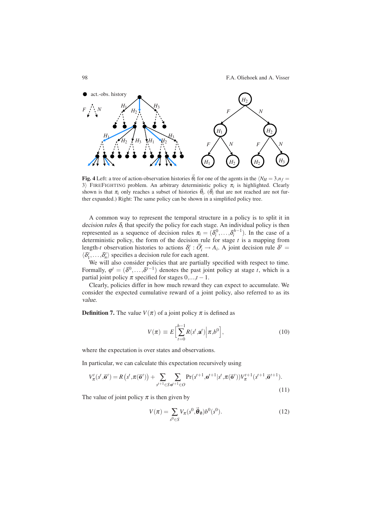98 F.A. Oliehoek and A. Visser



**Fig. 4** Left: a tree of action-observation histories  $\vec{\theta}_i$  for one of the agents in the  $\langle N_H = 3, n_f = 1 \rangle$ 3) FIREFIGHTING problem. An arbitrary deterministic policy  $\pi$ <sub>i</sub> is highlighted. Clearly shown is that  $\pi_i$  only reaches a subset of histories  $\vec{\theta}_i$ . ( $\vec{\theta}_i$  that are not reached are not further expanded.) Right: The same policy can be shown in a simplified policy tree.

A common way to represent the temporal structure in a policy is to split it in decision rules  $\delta_i$  that specify the policy for each stage. An individual policy is then represented as a sequence of decision rules  $\pi_i = (\delta_i^0, \dots, \delta_i^{h-1})$ . In the case of a deterministic policy, the form of the decision rule for stage *t* is a mapping from length-*t* observation histories to actions  $\delta_i^t : \vec{O}_i^t \to A_i$ . A joint decision rule  $\delta^t =$  $\langle \delta_1^t, \ldots, \delta_n^t \rangle$  specifies a decision rule for each agent.

We will also consider policies that are partially specified with respect to time. Formally,  $\varphi^t = (\delta^0, \dots, \delta^{t-1})$  denotes the past joint policy at stage *t*, which is a partial joint policy  $\pi$  specified for stages  $0, \ldots, t-1$ .

Clearly, policies differ in how much reward they can expect to accumulate. We consider the expected cumulative reward of a joint policy, also referred to as its value.

**Definition 7.** The value  $V(\pi)$  of a joint policy  $\pi$  is defined as

$$
V(\pi) \equiv E\left[\sum_{t=0}^{h-1} R(s^t, \mathbf{a}^t) \middle| \pi, b^0\right],\tag{10}
$$

where the expectation is over states and observations.

In particular, we can calculate this expectation recursively using

$$
V_{\pi}^{t}(s^{t}, \vec{\mathbf{o}}^{t}) = R(s^{t}, \pi(\vec{\mathbf{o}}^{t})) + \sum_{s^{t+1} \in S} \sum_{\mathbf{o}^{t+1} \in O} \Pr(s^{t+1}, \mathbf{o}^{t+1} | s^{t}, \pi(\vec{\mathbf{o}}^{t})) V_{\pi}^{t+1}(s^{t+1}, \vec{\mathbf{o}}^{t+1}).
$$
\n(11)

The value of joint policy  $\pi$  is then given by

$$
V(\pi) = \sum_{s^0 \in S} V_{\pi}(s^0, \vec{\theta}_\theta) b^0(s^0).
$$
 (12)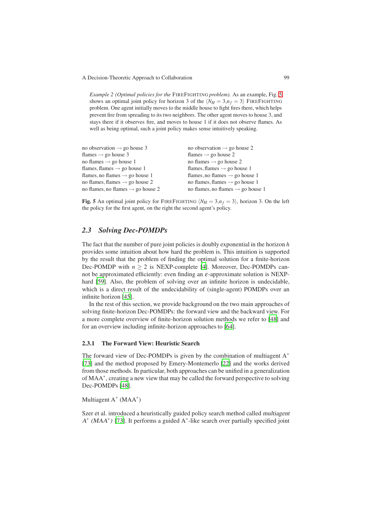*Example 2 (Optimal policies for the* FIREFIGHTING *problem).* As an example, Fig. 5 shows an optimal joint policy for horizon 3 of the  $\langle N_H = 3, n_f = 3 \rangle$  FIREFIGHTING problem. One agent initially moves to the middle house to fight fires there, which helps prevent fire from spreading to its two neighbors. The other agent moves to house 3, and stays there if it observes fire, and moves to house 1 if it does not observe flames. As well as being optimal, such a joint policy makes sense intuitively speaking.

| no observation $\rightarrow$ go house 3       | no observation $\rightarrow$ go house 2       |
|-----------------------------------------------|-----------------------------------------------|
| flames $\rightarrow$ go house 3               | flames $\rightarrow$ go house 2               |
| no flames $\rightarrow$ go house 1            | no flames $\rightarrow$ go house 2            |
| flames, flames $\rightarrow$ go house 1       | flames, flames $\rightarrow$ go house 1       |
| flames, no flames $\rightarrow$ go house 1    | flames, no flames $\rightarrow$ go house 1    |
| no flames, flames $\rightarrow$ go house 2    | no flames, flames $\rightarrow$ go house 1    |
| no flames, no flames $\rightarrow$ go house 2 | no flames, no flames $\rightarrow$ go house 1 |

**Fig. 5** An optimal joint policy for FIREFIGHTING  $\langle N_H = 3, n_f = 3 \rangle$ , horizon 3. On the left the policy for the first agent, on the right the second agent's policy.

### *2.3 Solving Dec-POMDPs*

The fact that the number of pure joint policies is doubly exponential in the horizon *h* provides some intuition about how hard the problem is. This intuition is supported by the result that the problem of finding the optimal solution for a finite-horizon Dec-POMDP with *n* > 2 is NEXP-complete [4]. Moreover, Dec-POMDPs cannot be approximated efficiently: even finding an  $\varepsilon$ -approximate solution is NEXPhard [59]. Also, the problem of solving over an infinite horizon is undecidable, which is a direct result of the undecidability of (single-agent) POMDPs over an infinite horizon [45].

In the rest of this section, we provide background on the two main approaches of solving finite-horizon Dec-POMDPs: the forward view and the backward view. For a more complete overview of finite-horizon solution methods we refer to [48] and for an overview including infinite-horizon approaches to [64].

### **2.3.1 The Forward View: Heuristic Search**

The forward view of Dec-POMDPs is given by the combination of multiagent A<sup>∗</sup> [73] and the method proposed by Emery-Montemerlo [22] and the works derived from those methods. In particular, both approaches can be unified in a generalization of MAA∗, creating a new view that may be called the forward perspective to solving Dec-POMDPs [48].

Multiagent  $A^*$  (MA $A^*$ )

Szer et al. introduced a heuristically guided policy search method called multiagent <sup>A</sup><sup>∗</sup> (MAA∗) [73]. It performs a guided A∗-like search over partially specified joint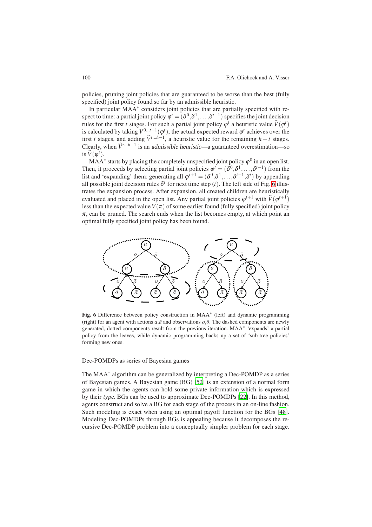policies, pruning joint policies that are guaranteed to be worse than the best (fully specified) joint policy found so far by an admissible heuristic.

In particular MAA<sup>∗</sup> considers joint policies that are partially specified with respect to time: a partial joint policy  $\varphi^t = (\delta^0, \delta^1, \dots, \delta^{t-1})$  specifies the joint decision rules for the first *t* stages. For such a partial joint policy  $\varphi^t$  a heuristic value  $\hat{V}(\varphi^t)$ is calculated by taking  $V^{0...t-1}(\varphi^t)$ , the actual expected reward  $\varphi^t$  achieves over the first *t* stages, and adding  $\hat{V}^{t...h-1}$ , a heuristic value for the remaining *h* − *t* stages. Clearly, when  $\hat{V}^{t...h-1}$  is an admissible heuristic—a guaranteed overestimation—so is  $\widehat{V}(\boldsymbol{\varphi}^t)$ .

MAA<sup>\*</sup> starts by placing the completely unspecified joint policy  $\varphi^0$  in an open list. Then, it proceeds by selecting partial joint policies  $\varphi^t = (\delta^0, \delta^1, \dots, \delta^{t-1})$  from the list and 'expanding' them: generating all  $\varphi^{t+1} = (\delta^0, \delta^1, \ldots, \delta^{t-1}, \delta^t)$  by appending all possible joint decision rules  $\delta^t$  for next time step (*t*). The left side of Fig. 6 illustrates the expansion process. After expansion, all created children are heuristically evaluated and placed in the open list. Any partial joint policies  $\varphi^{t+1}$  with  $\widehat{V}(\varphi^{t+1})$ less than the expected value  $V(\pi)$  of some earlier found (fully specified) joint policy  $\pi$ , can be pruned. The search ends when the list becomes empty, at which point an optimal fully specified joint policy has been found.



**Fig. 6** Difference between policy construction in MAA<sup>∗</sup> (left) and dynamic programming (right) for an agent with actions  $a,\bar{a}$  and observations  $o,\bar{o}$ . The dashed components are newly generated, dotted components result from the previous iteration. MAA<sup>∗</sup> 'expands' a partial policy from the leaves, while dynamic programming backs up a set of 'sub-tree policies' forming new ones.

#### Dec-POMDPs as series of Bayesian games

The MAA<sup>∗</sup> algorithm can be generalized by interpreting a Dec-POMDP as a series of Bayesian games. A Bayesian game (BG) [52] is an extension of a normal form game in which the agents can hold some private information which is expressed by their type. BGs can be used to approximate Dec-POMDPs [22]. In this method, agents construct and solve a BG for each stage of the process in an on-line fashion. Such modeling is exact when using an optimal payoff function for the BGs [48]. Modeling Dec-POMDPs through BGs is appealing because it decomposes the recursive Dec-POMDP problem into a conceptually simpler problem for each stage.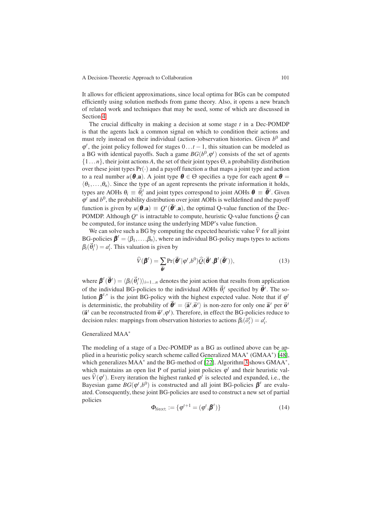It allows for efficient approximations, since local optima for BGs can be computed efficiently using solution methods from game theory. Also, it opens a new branch of related work and techniques that may be used, some of which are discussed in Section 4.

The crucial difficulty in making a decision at some stage *t* in a Dec-POMDP is that the agents lack a common signal on which to condition their actions and must rely instead on their individual (action-)observation histories. Given  $b^0$  and  $\varphi^t$ , the joint policy followed for stages  $0 \dots t - 1$ , this situation can be modeled as a BG with identical payoffs. Such a game  $BG(b^0, \varphi^t)$  consists of the set of agents {1...*n*}, their joint actions *A*, the set of their joint types Θ, a probability distribution over these joint types  $Pr(\cdot)$  and a payoff function *u* that maps a joint type and action to a real number  $u(\theta, \mathbf{a})$ . A joint type  $\theta \in \Theta$  specifies a type for each agent  $\theta =$  $\langle \theta_1, \ldots, \theta_n \rangle$ . Since the type of an agent represents the private information it holds, types are AOHs  $\theta_i \equiv \vec{\theta}_i^t$  and joint types correspond to joint AOHs  $\boldsymbol{\theta} \equiv \vec{\boldsymbol{\theta}}^t$ . Given  $\varphi^t$  and  $b^0$ , the probability distribution over joint AOHs is welldefined and the payoff function is given by  $u(\theta, \mathbf{a}) \equiv Q^*(\vec{\theta}', \mathbf{a})$ , the optimal Q-value function of the Dec-POMDP. Although  $Q^*$  is intractable to compute, heuristic Q-value functions  $\hat{Q}$  can be computed, for instance using the underlying MDP's value function.

We can solve such a BG by computing the expected heuristic value  $\hat{V}$  for all joint BG-policies  $\boldsymbol{\beta}^t = (\beta_1, \dots, \beta_n)$ , where an individual BG-policy maps types to actions  $\beta_i(\vec{\theta}_i^t) = a_i^t$ . This valuation is given by

$$
\widehat{V}(\boldsymbol{\beta}^{t}) = \sum_{\vec{\boldsymbol{\theta}}^{t}} \Pr(\vec{\boldsymbol{\theta}}^{t} | \boldsymbol{\varphi}^{t}, b^{0}) \widehat{Q}(\vec{\boldsymbol{\theta}}^{t}, \boldsymbol{\beta}^{t}(\vec{\boldsymbol{\theta}}^{t})),
$$
\n(13)

where  $\boldsymbol{\beta}^t(\vec{\theta}^t) = \langle \beta_i(\vec{\theta}^t_i) \rangle_{i=1...n}$  denotes the joint action that results from application of the individual BG-policies to the individual AOHs  $\vec{\theta}_i^t$  specified by  $\vec{\theta}^t$ . The solution  $\beta^{t,*}$  is the joint BG-policy with the highest expected value. Note that if  $\varphi^t$ is deterministic, the probability of  $\vec{\theta}^t = \langle \vec{a}^t, \vec{0}^t \rangle$  is non-zero for only one  $\vec{a}^t$  per  $\vec{0}^t$  $(\vec{a}^t)$  can be reconstructed from  $\vec{\sigma}^t, \varphi^t$ ). Therefore, in effect the BG-policies reduce to decision rules: mappings from observation histories to actions  $\beta_i(\vec{\sigma}_i^t) = a_i^t$ .

#### Generalized MAA<sup>∗</sup>

The modeling of a stage of a Dec-POMDP as a BG as outlined above can be applied in a heuristic policy search scheme called Generalized MAA<sup>∗</sup> (GMAA∗) [48], which generalizes MAA<sup>\*</sup> and the BG-method of [22]. Algorithm 3 shows GMAA<sup>\*</sup>, which maintains an open list P of partial joint policies  $\varphi^t$  and their heuristic values  $\hat{V}(\varphi^t)$ . Every iteration the highest ranked  $\varphi^t$  is selected and expanded, i.e., the Bayesian game  $BG(\varphi^t, b^0)$  is constructed and all joint BG-policies  $\beta^t$  are evaluated. Consequently, these joint BG-policies are used to construct a new set of partial policies

$$
\Phi_{\text{Next}} := \{ \varphi^{t+1} = (\varphi^t, \pmb{\beta}^t) \}
$$
\n(14)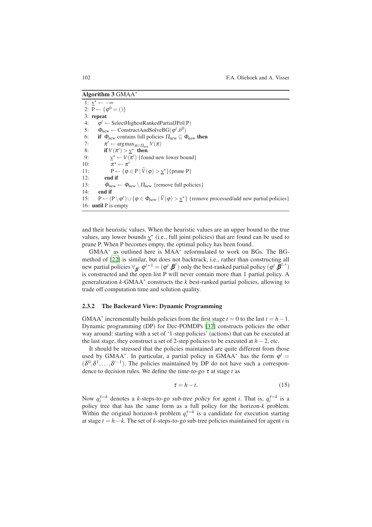#### **Algorithm 3** GMAA<sup>∗</sup>

1:  $\underline{v}^* \leftarrow -\infty$ 2:  $\overline{P} \leftarrow {\phi^0 = {0}$ 3: **repeat** 4:  $\varphi^t \leftarrow$  SelectHighestRankedPartialJPol(P) 5:  $\Phi_{\text{new}} \leftarrow \text{ConstructAndSolveBG}(\varphi^t, b^0)$ 6: **if**  $\Phi_{\text{new}}$  contains full policies  $\Pi_{\text{new}} \subseteq \Phi_{\text{new}}$  then 7:  $\pi' \leftarrow \arg \max_{\pi \in \Pi_{\text{new}}} V(\pi)$ <br>8: **if**  $V(\pi') > v^*$  **then** 8: **if**  $V(\pi') > \underline{v^*}$  **then** 9:  $\underline{v}^* \leftarrow V(\pi')$  {found new lower bound} 10:  $\pi^* \leftarrow \pi^{\prime}$ 11:  $P \leftarrow {\varphi \in P | \widehat{V}(\varphi) > \underline{v}^{\star} }$ {prune P} end if 13:  $\Phi_{\text{new}} \leftarrow \Phi_{\text{new}} \setminus \Pi_{\text{new}}$  {remove full policies} 14: **end if** 15:  $P \leftarrow (P \setminus \phi^t) \cup \{ \phi \in \Phi_{\text{new}} \mid \hat{V}(\phi) > \underline{v}^{\star} \}$  {remove processed/add new partial policies} 16: **until** P is empty

and their heuristic values. When the heuristic values are an upper bound to the true values, any lower bounds  $v^*$  (i.e., full joint policies) that are found can be used to prune P. When P becomes empty, the optimal policy has been found.

GMAA<sup>∗</sup> as outlined here is MAA<sup>∗</sup> reformulated to work on BGs. The BGmethod of [22] is similar, but does not backtrack, i.e., rather than constructing all new partial policies  $\forall_{\beta} \phi^{t+1} = (\phi^{t}, \beta^{t})$  only the best-ranked partial policy  $(\phi^{t}, \beta^{t,*})$ is constructed and the open list P will never contain more than 1 partial policy. A generalization *k*-GMAA<sup>∗</sup> constructs the *k* best-ranked partial policies, allowing to trade off computation time and solution quality.

#### **2.3.2 The Backward View: Dynamic Programming**

GMAA<sup> $*$ </sup> incrementally builds policies from the first stage  $t = 0$  to the last  $t = h - 1$ . Dynamic programming (DP) for Dec-POMDPs [37] constructs policies the other way around: starting with a set of '1-step policies' (actions) that can be executed at the last stage, they construct a set of 2-step policies to be executed at *h*−2, etc.

It should be stressed that the policies maintained are quite different from those used by GMAA<sup>\*</sup>. In particular, a partial policy in GMAA<sup>\*</sup> has the form  $\varphi^t =$  $(\delta^0, \delta^1, \ldots, \delta^{t-1})$ . The policies maintained by DP do not have such a correspondence to decision rules. We define the time-to-go <sup>τ</sup> at stage *t* as

$$
\tau = h - t. \tag{15}
$$

Now  $q_i^{\tau=k}$  denotes a *k*-steps-to-go sub-tree policy for agent *i*. That is,  $q_i^{\tau=k}$  is a policy tree that has the same form as a full policy for the horizon-*k* problem. Within the original horizon-*h* problem  $q_i^{\tau=k}$  is a candidate for execution starting at stage  $t = h - k$ . The set of *k*-steps-to-go sub-tree policies maintained for agent *i* is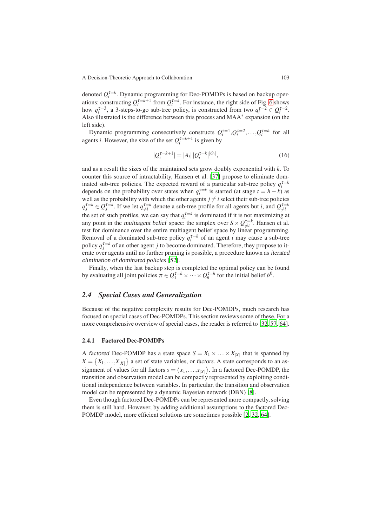denoted  $Q_i^{\tau=k}$ . Dynamic programming for Dec-POMDPs is based on backup operations: constructing  $Q_i^{\tau=k+1}$  from  $Q_i^{\tau=k}$ . For instance, the right side of Fig. 6 shows how  $q_i^{\tau=3}$ , a 3-steps-to-go sub-tree policy, is constructed from two  $q_i^{\tau=2} \in Q_i^{\tau=2}$ . Also illustrated is the difference between this process and MAA<sup>∗</sup> expansion (on the left side).

Dynamic programming consecutively constructs  $Q_i^{\tau=1}, Q_i^{\tau=2}, \ldots, Q_i^{\tau=h}$  for all agents *i*. However, the size of the set  $Q_i^{\tau=k+1}$  is given by

$$
|Q_i^{\tau=k+1}| = |A_i| |Q_i^{\tau=k}|^{|O_i|}, \tag{16}
$$

and as a result the sizes of the maintained sets grow doubly exponential with *k*. To counter this source of intractability, Hansen et al. [37] propose to eliminate dominated sub-tree policies. The expected reward of a particular sub-tree policy  $q_i^{\tau=k}$ *i* depends on the probability over states when  $q_i^{\tau=k}$  is started (at stage  $t = h - k$ ) as well as the probability with which the other agents  $j \neq i$  select their sub-tree policies  $q_j^{\tau=k} \in Q_j^{\tau=k}$ . If we let  $q_{\neq i}^{\tau=k}$  denote a sub-tree profile for all agents but *i*, and  $Q_{\neq i}^{\tau=k}$ the set of such profiles, we can say that  $q_i^{\tau=k}$  is dominated if it is not maximizing at any point in the *multiagent belief* space: the simplex over  $S \times Q_{\neq i}^{\tau=k}$ . Hansen et al. test for dominance over the entire multiagent belief space by linear programming. Removal of a dominated sub-tree policy  $q_i^{\tau=k}$  of an agent *i* may cause a sub-tree policy  $q_j^{\tau=k}$  of an other agent *j* to become dominated. Therefore, they propose to iterate over agents until no further pruning is possible, a procedure known as iterated elimination of dominated policies [52].

Finally, when the last backup step is completed the optimal policy can be found by evaluating all joint policies  $\pi \in Q_1^{\tau=h} \times \cdots \times Q_n^{\tau=h}$  for the initial belief  $b^0$ .

#### *2.4 Special Cases and Generalization*

Because of the negative complexity results for Dec-POMDPs, much research has focused on special cases of Dec-POMDPs. This section reviews some of these. For a more comprehensive overview of special cases, the reader is referred to [32, 57, 64].

#### **2.4.1 Factored Dec-POMDPs**

A factored Dec-POMDP has a state space  $S = X_1 \times \ldots \times X_{|X|}$  that is spanned by  $X = \{X_1, \ldots, X_{|X|}\}\$ a set of state variables, or *factors*. A state corresponds to an assignment of values for all factors  $s = \langle x_1, \ldots, x_{|X|} \rangle$ . In a factored Dec-POMDP, the transition and observation model can be compactly represented by exploiting conditional independence between variables. In particular, the transition and observation model can be represented by a dynamic Bayesian network (DBN) [8].

Even though factored Dec-POMDPs can be represented more compactly, solving them is still hard. However, by adding additional assumptions to the factored Dec-POMDP model, more efficient solutions are sometimes possible [2, 32, 64].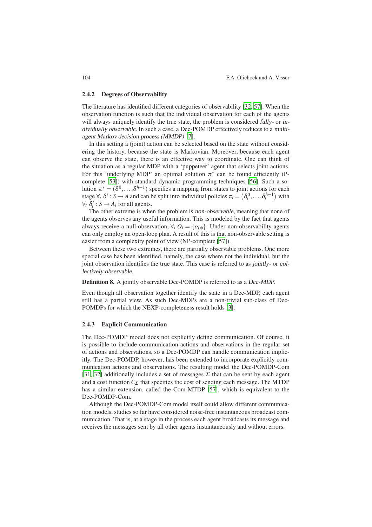#### **2.4.2 Degrees of Observability**

The literature has identified different categories of observability [32, 57]. When the observation function is such that the individual observation for each of the agents will always uniquely identify the true state, the problem is considered fully- or individually observable. In such a case, a Dec-POMDP effectively reduces to a multiagent Markov decision process (MMDP) [7].

In this setting a (joint) action can be selected based on the state without considering the history, because the state is Markovian. Moreover, because each agent can observe the state, there is an effective way to coordinate. One can think of the situation as a regular MDP with a 'puppeteer' agent that selects joint actions. For this 'underlying MDP' an optimal solution  $\pi^*$  can be found efficiently (Pcomplete [53]) with standard dynamic programming techniques [56]. Such a solution  $\pi^* = (\delta^0, \dots, \delta^{h-1})$  specifies a mapping from states to joint actions for each stage  $\forall_t \ \delta^t : S \to A$  and can be split into individual policies  $\pi_i = (\delta_i^0, \dots, \delta_i^{h-1})$  with  $\forall_t \delta_i^t : S \rightarrow A_i$  for all agents.

The other extreme is when the problem is non-observable, meaning that none of the agents observes any useful information. This is modeled by the fact that agents always receive a null-observation,  $\forall$ *i*  $O$ <sup>*i*</sup> = { $o$ *i*, $\emptyset$ }. Under non-observability agents can only employ an open-loop plan. A result of this is that non-observable setting is easier from a complexity point of view (NP-complete [57]).

Between these two extremes, there are partially observable problems. One more special case has been identified, namely, the case where not the individual, but the joint observation identifies the true state. This case is referred to as jointly- or collectively observable.

**Definition 8.** A jointly observable Dec-POMDP is referred to as a Dec-MDP.

Even though all observation together identify the state in a Dec-MDP, each agent still has a partial view. As such Dec-MDPs are a non-trivial sub-class of Dec-POMDPs for which the NEXP-completeness result holds [3].

#### **2.4.3 Explicit Communication**

The Dec-POMDP model does not explicitly define communication. Of course, it is possible to include communication actions and observations in the regular set of actions and observations, so a Dec-POMDP can handle communication implicitly. The Dec-POMDP, however, has been extended to incorporate explicitly communication actions and observations. The resulting model the Dec-POMDP-Com [31, 32] additionally includes a set of messages  $\Sigma$  that can be sent by each agent and a cost function  $C_{\Sigma}$  that specifies the cost of sending each message. The MTDP has a similar extension, called the Com-MTDP [57], which is equivalent to the Dec-POMDP-Com.

Although the Dec-POMDP-Com model itself could allow different communication models, studies so far have considered noise-free instantaneous broadcast communication. That is, at a stage in the process each agent broadcasts its message and receives the messages sent by all other agents instantaneously and without errors.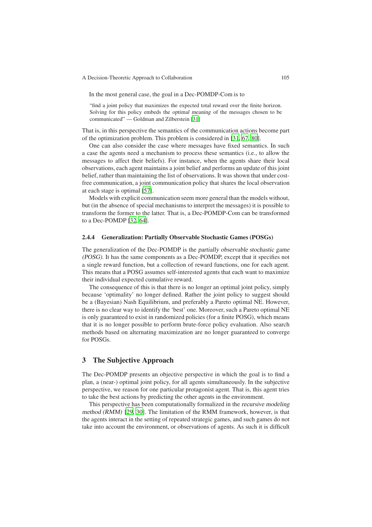In the most general case, the goal in a Dec-POMDP-Com is to

"find a joint policy that maximizes the expected total reward over the finite horizon. Solving for this policy embeds the optimal meaning of the messages chosen to be communicated" — Goldman and Zilberstein [31]

That is, in this perspective the semantics of the communication actions become part of the optimization problem. This problem is considered in [31, 67, 80].

One can also consider the case where messages have fixed semantics. In such a case the agents need a mechanism to process these semantics (i.e., to allow the messages to affect their beliefs). For instance, when the agents share their local observations, each agent maintains a joint belief and performs an update of this joint belief, rather than maintaining the list of observations. It was shown that under costfree communication, a joint communication policy that shares the local observation at each stage is optimal [57].

Models with explicit communication seem more general than the models without, but (in the absence of special mechanisms to interpret the messages) it is possible to transform the former to the latter. That is, a Dec-POMDP-Com can be transformed to a Dec-POMDP [32, 64].

#### **2.4.4 Generalization: Partially Observable Stochastic Games (POSGs)**

The generalization of the Dec-POMDP is the partially observable stochastic game (POSG). It has the same components as a Dec-POMDP, except that it specifies not a single reward function, but a collection of reward functions, one for each agent. This means that a POSG assumes self-interested agents that each want to maximize their individual expected cumulative reward.

The consequence of this is that there is no longer an optimal joint policy, simply because 'optimality' no longer defined. Rather the joint policy to suggest should be a (Bayesian) Nash Equilibrium, and preferably a Pareto optimal NE. However, there is no clear way to identify the 'best' one. Moreover, such a Pareto optimal NE is only guaranteed to exist in randomized policies (for a finite POSG), which means that it is no longer possible to perform brute-force policy evaluation. Also search methods based on alternating maximization are no longer guaranteed to converge for POSGs.

### **3 The Subjective Approach**

The Dec-POMDP presents an objective perspective in which the goal is to find a plan, a (near-) optimal joint policy, for all agents simultaneously. In the subjective perspective, we reason for one particular protagonist agent. That is, this agent tries to take the best actions by predicting the other agents in the environment.

This perspective has been computationally formalized in the recursive modeling method (RMM) [29, 30]. The limitation of the RMM framework, however, is that the agents interact in the setting of repeated strategic games, and such games do not take into account the environment, or observations of agents. As such it is difficult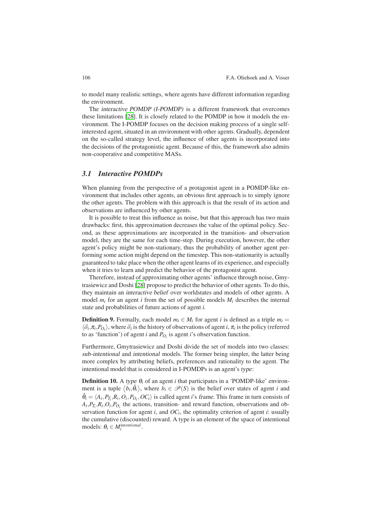to model many realistic settings, where agents have different information regarding the environment.

The interactive POMDP (I-POMDP) is a different framework that overcomes these limitations [28]. It is closely related to the POMDP in how it models the environment. The I-POMDP focuses on the decision making process of a single selfinterested agent, situated in an environment with other agents. Gradually, dependent on the so-called strategy level, the influence of other agents is incorporated into the decisions of the protagonistic agent. Because of this, the framework also admits non-cooperative and competitive MASs.

### *3.1 Interactive POMDPs*

When planning from the perspective of a protagonist agent in a POMDP-like environment that includes other agents, an obvious first approach is to simply ignore the other agents. The problem with this approach is that the result of its action and observations are influenced by other agents.

It is possible to treat this influence as noise, but that this approach has two main drawbacks: first, this approximation decreases the value of the optimal policy. Second, as these approximations are incorporated in the transition- and observation model, they are the same for each time-step. During execution, however, the other agent's policy might be non-stationary, thus the probability of another agent performing some action might depend on the timestep. This non-stationarity is actually guaranteed to take place when the other agent learns of its experience, and especially when it tries to learn and predict the behavior of the protagonist agent.

Therefore, instead of approximating other agents' influence through noise, Gmytrasiewicz and Doshi [28] propose to predict the behavior of other agents. To do this, they maintain an interactive belief over worldstates and models of other agents. A model  $m_i$  for an agent *i* from the set of possible models  $M_i$  describes the internal state and probabilities of future actions of agent *i*.

**Definition 9.** Formally, each model  $m_i \in M_i$  for agent *i* is defined as a triple  $m_i =$  $\langle \vec{o}_i, \pi_i, P_{O_i} \rangle$ , where  $\vec{o}_i$  is the history of observations of agent *i*,  $\pi_i$  is the policy (referred to as 'function') of agent *i* and  $P_{O_i}$  is agent *i*'s observation function.

Furthermore, Gmytrasiewicz and Doshi divide the set of models into two classes: sub-intentional and intentional models. The former being simpler, the latter being more complex by attributing beliefs, preferences and rationality to the agent. The intentional model that is considered in I-POMDPs is an agent's type:

**Definition 10.** A type  $\theta_i$  of an agent *i* that participates in a 'POMDP-like' environment is a tuple  $\langle b_i, \hat{\theta}_i \rangle$ , where  $b_i \in \mathcal{P}(S)$  is the belief over states of agent *i* and  $\hat{\theta}_i = \langle A_i, P_{T_i}, R_i, O_i, P_{O_i}, OC_i \rangle$  is called agent *i*'s frame. This frame in turn consists of  $A_i$ ,  $P_{T_i}$ ,  $R_i$ ,  $O_i$ ,  $P_{O_i}$  the actions, transition- and reward function, observations and observation function for agent  $i$ , and  $OC_i$ , the optimality criterion of agent  $i$ : usually the cumulative (discounted) reward. A type is an element of the space of intentional models:  $\theta_i \in M_i^{internal}$ .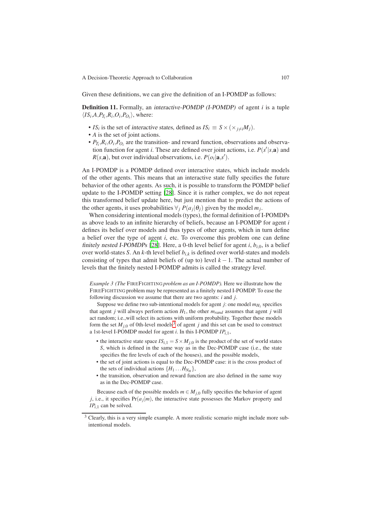Given these definitions, we can give the definition of an I-POMDP as follows:

**Definition 11.** Formally, an interactive-POMDP (I-POMDP) of agent *i* is a tuple  $\langle IS_i, A, P_{T_i}, R_i, O_i, P_{O_i} \rangle$ , where:

- *IS<sub>i</sub>* is the set of interactive states, defined as  $IS_i \equiv S \times (\times_{i \neq i} M_i)$ .
- *A* is the set of joint actions.
- $P_{T_i}, R_i, O_i, P_{O_i}$  are the transition- and reward function, observations and observation function for agent *i*. These are defined over joint actions, i.e.  $P(s'|s, \mathbf{a})$  and  $R(s, \mathbf{a})$ , but over individual observations, i.e.  $P(o_i|\mathbf{a}, s')$ .

An I-POMDP is a POMDP defined over interactive states, which include models of the other agents. This means that an interactive state fully specifies the future behavior of the other agents. As such, it is possible to transform the POMDP belief update to the I-POMDP setting [28]. Since it is rather complex, we do not repeat this transformed belief update here, but just mention that to predict the actions of the other agents, it uses probabilities  $\forall$ <sub>*i</sub> P*( $a$ <sub>*i*</sub>| $\theta$ <sub>*j*</sub>) given by the model  $m$ <sub>*j*</sub>.</sub>

When considering intentional models (types), the formal definition of I-POMDPs as above leads to an infinite hierarchy of beliefs, because an I-POMDP for agent *i* defines its belief over models and thus types of other agents, which in turn define a belief over the type of agent *i*, etc. To overcome this problem one can define finitely nested I-POMDPs [28]. Here, a 0-th level belief for agent  $i$ ,  $b_{i,0}$ , is a belief over world-states *S*. An *k*-th level belief *bi*,*<sup>k</sup>* is defined over world-states and models consisting of types that admit beliefs of (up to) level  $k - 1$ . The actual number of levels that the finitely nested I-POMDP admits is called the strategy level.

*Example 3 (The* FIREFIGHTING *problem as an I-POMDP).* Here we illustrate how the FIREFIGHTING problem may be represented as a finitely nested I-POMDP. To ease the following discussion we assume that there are two agents: *i* and *j*.

Suppose we define two sub-intentional models for agent  $j$ : one model  $m_{H_1}$  specifies that agent *j* will always perform action  $H_1$ , the other  $m_{rand}$  assumes that agent *j* will act random; i.e.,will select its actions with uniform probability. Together these models form the set  $M_{i,0}$  of 0th-level models<sup>3</sup> of agent *j* and this set can be used to construct a 1st-level I-POMDP model for agent *i*. In this I-POMDP  $IP_{i,1}$ ,

- the interactive state space  $IS_{i,1} = S \times M_{j,0}$  is the product of the set of world states *S*, which is defined in the same way as in the Dec-POMDP case (i.e., the state specifies the fire levels of each of the houses), and the possible models,
- the set of joint actions is equal to the Dec-POMDP case: it is the cross product of the sets of individual actions  $\{H_1 \dots H_{N_H}\},\$
- the transition, observation and reward function are also defined in the same way as in the Dec-POMDP case.

Because each of the possible models  $m \in M_{i,0}$  fully specifies the behavior of agent *j*, i.e., it specifies  $Pr(a_j|m)$ , the interactive state possesses the Markov property and  $IP_{i}$ <sub>1</sub> can be solved.

<sup>&</sup>lt;sup>3</sup> Clearly, this is a very simple example. A more realistic scenario might include more subintentional models.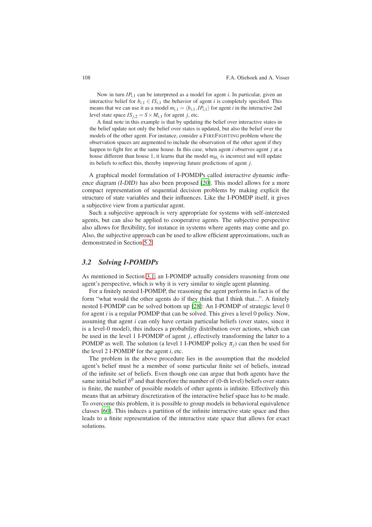Now in turn  $IP_{i,1}$  can be interpreted as a model for agent *i*. In particular, given an interactive belief for  $b_{i,1} \in IS_{i,1}$  the behavior of agent *i* is completely specified. This means that we can use it as a model  $m_{i,1} = \langle b_{i,1}, I P_{i,1} \rangle$  for agent *i* in the interactive 2nd level state space  $IS_{i,2} = S \times M_{i,1}$  for agent *j*, etc.

A final note in this example is that by updating the belief over interactive states in the belief update not only the belief over states is updated, but also the belief over the models of the other agent. For instance, consider a FIREFIGHTING problem where the observation spaces are augmented to include the observation of the other agent if they happen to fight fire at the same house. In this case, when agent *i* observes agent *j* at a house different than house 1, it learns that the model  $m<sub>H<sub>1</sub></sub>$  is incorrect and will update its beliefs to reflect this, thereby improving future predictions of agent *j*.

A graphical model formulation of I-POMDPs called interactive dynamic influence diagram (I-DID) has also been proposed [20]. This model allows for a more compact representation of sequential decision problems by making explicit the structure of state variables and their influences. Like the I-POMDP itself, it gives a subjective view from a particular agent.

Such a subjective approach is very appropriate for systems with self-interested agents, but can also be applied to cooperative agents. The subjective perspective also allows for flexibility, for instance in systems where agents may come and go. Also, the subjective approach can be used to allow efficient approximations, such as demonstrated in Section 5.2.

#### *3.2 Solving I-POMDPs*

As mentioned in Section 3.1, an I-POMDP actually considers reasoning from one agent's perspective, which is why it is very similar to single agent planning.

For a finitely nested I-POMDP, the reasoning the agent performs in fact is of the form "what would the other agents do if they think that I think that...". A finitely nested I-POMDP can be solved bottom up [28]: An I-POMDP of strategic level 0 for agent *i* is a regular POMDP that can be solved. This gives a level 0 policy. Now, assuming that agent *i* can only have certain particular beliefs (over states, since it is a level-0 model), this induces a probability distribution over actions, which can be used in the level 1 I-POMDP of agent *j*, effectively transforming the latter to a POMDP as well. The solution (a level 1 I-POMDP policy  $\pi_i$ ) can then be used for the level 2 I-POMDP for the agent *i*, etc.

The problem in the above procedure lies in the assumption that the modeled agent's belief must be a member of some particular finite set of beliefs, instead of the infinite set of beliefs. Even though one can argue that both agents have the same initial belief  $b^0$  and that therefore the number of (0-th level) beliefs over states is finite, the number of possible models of other agents is infinite. Effectively this means that an arbitrary discretization of the interactive belief space has to be made. To overcome this problem, it is possible to group models in behavioral equivalence classes [60]. This induces a partition of the infinite interactive state space and thus leads to a finite representation of the interactive state space that allows for exact solutions.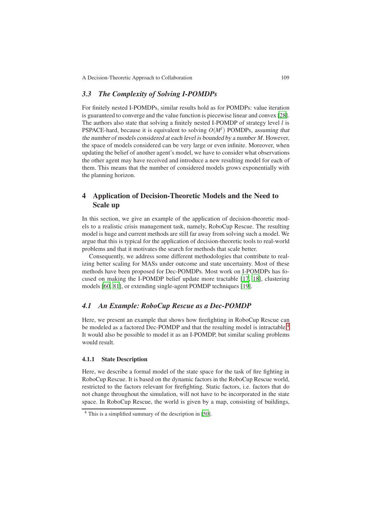### *3.3 The Complexity of Solving I-POMDPs*

For finitely nested I-POMDPs, similar results hold as for POMDPs: value iteration is guaranteed to converge and the value function is piecewise linear and convex [28]. The authors also state that solving a finitely nested I-POMDP of strategy level *l* is PSPACE-hard, because it is equivalent to solving  $O(M^l)$  POMDPs, assuming that the number of models considered at each level is bounded by <sup>a</sup> number *M*. However, the space of models considered can be very large or even infinite. Moreover, when updating the belief of another agent's model, we have to consider what observations the other agent may have received and introduce a new resulting model for each of them. This means that the number of considered models grows exponentially with the planning horizon.

### **4 Application of Decision-Theoretic Models and the Need to Scale up**

In this section, we give an example of the application of decision-theoretic models to a realistic crisis management task, namely, RoboCup Rescue. The resulting model is huge and current methods are still far away from solving such a model. We argue that this is typical for the application of decision-theoretic tools to real-world problems and that it motivates the search for methods that scale better.

Consequently, we address some different methodologies that contribute to realizing better scaling for MASs under outcome and state uncertainty. Most of these methods have been proposed for Dec-POMDPs. Most work on I-POMDPs has focused on making the I-POMDP belief update more tractable [17, 18], clustering models [60, 81], or extending single-agent POMDP techniques [19].

### *4.1 An Example: RoboCup Rescue as a Dec-POMDP*

Here, we present an example that shows how firefighting in RoboCup Rescue can be modeled as a factored Dec-POMDP and that the resulting model is intractable.<sup>4</sup> It would also be possible to model it as an I-POMDP, but similar scaling problems would result.

#### **4.1.1 State Description**

Here, we describe a formal model of the state space for the task of fire fighting in RoboCup Rescue. It is based on the dynamic factors in the RoboCup Rescue world, restricted to the factors relevant for firefighting. Static factors, i.e. factors that do not change throughout the simulation, will not have to be incorporated in the state space. In RoboCup Rescue, the world is given by a map, consisting of buildings,

<sup>4</sup> This is a simplified summary of the description in [50].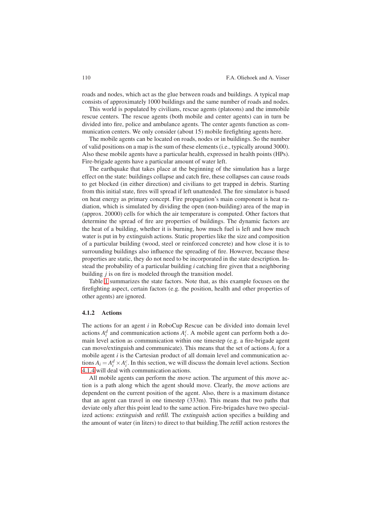#### 110 F.A. Oliehoek and A. Visser

roads and nodes, which act as the glue between roads and buildings. A typical map consists of approximately 1000 buildings and the same number of roads and nodes.

This world is populated by civilians, rescue agents (platoons) and the immobile rescue centers. The rescue agents (both mobile and center agents) can in turn be divided into fire, police and ambulance agents. The center agents function as communication centers. We only consider (about 15) mobile firefighting agents here.

The mobile agents can be located on roads, nodes or in buildings. So the number of valid positions on a map is the sum of these elements (i.e., typically around 3000). Also these mobile agents have a particular health, expressed in health points (HPs). Fire-brigade agents have a particular amount of water left.

The earthquake that takes place at the beginning of the simulation has a large effect on the state: buildings collapse and catch fire, these collapses can cause roads to get blocked (in either direction) and civilians to get trapped in debris. Starting from this initial state, fires will spread if left unattended. The fire simulator is based on heat energy as primary concept. Fire propagation's main component is heat radiation, which is simulated by dividing the open (non-building) area of the map in (approx. 20000) cells for which the air temperature is computed. Other factors that determine the spread of fire are properties of buildings. The dynamic factors are the heat of a building, whether it is burning, how much fuel is left and how much water is put in by extinguish actions. Static properties like the size and composition of a particular building (wood, steel or reinforced concrete) and how close it is to surrounding buildings also influence the spreading of fire. However, because these properties are static, they do not need to be incorporated in the state description. Instead the probability of a particular building *i* catching fire given that a neighboring building *j* is on fire is modeled through the transition model.

Table 1 summarizes the state factors. Note that, as this example focuses on the firefighting aspect, certain factors (e.g. the position, health and other properties of other agents) are ignored.

#### **4.1.2 Actions**

The actions for an agent *i* in RoboCup Rescue can be divided into domain level actions  $A_i^d$  and communication actions  $A_i^c$ . A mobile agent can perform both a domain level action as communication within one timestep (e.g. a fire-brigade agent can move/extinguish and communicate). This means that the set of actions *Ai* for a mobile agent *i* is the Cartesian product of all domain level and communication actions  $A_i = A_i^d \times A_i^c$ . In this section, we will discuss the domain level actions. Section 4.1.4 will deal with communication actions.

All mobile agents can perform the move action. The argument of this move action is a path along which the agent should move. Clearly, the move actions are dependent on the current position of the agent. Also, there is a maximum distance that an agent can travel in one timestep (333m). This means that two paths that deviate only after this point lead to the same action. Fire-brigades have two specialized actions: extinguish and refill. The extinguish action specifies a building and the amount of water (in liters) to direct to that building.The refill action restores the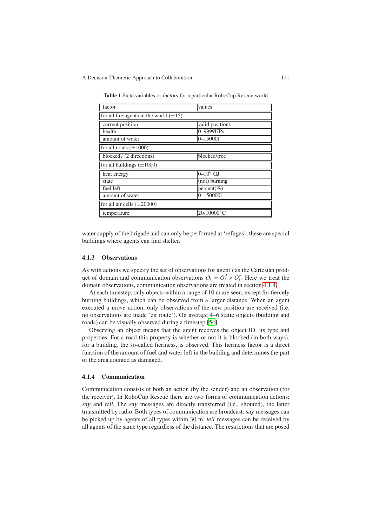**Table 1** State variables or factors for a particular RoboCup Rescue world

| factor                                      | values          |  |
|---------------------------------------------|-----------------|--|
| for all fire agents in the world $(\pm 15)$ |                 |  |
| current position                            | valid positions |  |
| health                                      | 0-9999HPs       |  |
| amount of water                             | $0 - 150001$    |  |
| for all roads $(\pm 1000)$                  |                 |  |
| blocked? (2 directions)                     | blocked/free    |  |
| for all buildings $(\pm 1000)$              |                 |  |
| heat energy                                 | $0 - 10^6$ GJ   |  |
| state                                       | (not) burning   |  |
| fuel left                                   | $percent(\%)$   |  |
| amount of water                             | $0 - 1500001$   |  |
| for all air cells $(\pm 20000)$             |                 |  |
| temperature                                 | $20 - 10000$ °C |  |

water supply of the brigade and can only be performed at 'refuges'; these are special buildings where agents can find shelter.

#### **4.1.3 Observations**

As with actions we specify the set of observations for agent *i* as the Cartesian product of domain and communication observations  $O_i = O_i^d \times O_i^c$ . Here we treat the domain observations, communication observations are treated in section 4.1.4.

At each timestep, only objects within a range of 10 m are seen, except for fiercely burning buildings, which can be observed from a larger distance. When an agent executed a move action, only observations of the new position are received (i.e. no observations are made 'en route'). On average 4–6 static objects (building and roads) can be visually observed during a timestep [54].

Observing an object means that the agent receives the object ID, its type and properties. For a road this property is whether or not it is blocked (in both ways), for a building, the so-called fieriness, is observed. This fieriness factor is a direct function of the amount of fuel and water left in the building and determines the part of the area counted as damaged.

#### **4.1.4 Communication**

Communication consists of both an action (by the sender) and an observation (for the receiver). In RoboCup Rescue there are two forms of communication actions: say and tell. The say messages are directly transferred (i.e., shouted), the latter transmitted by radio. Both types of communication are broadcast: say messages can be picked up by agents of all types within 30 m, tell messages can be received by all agents of the same type regardless of the distance. The restrictions that are posed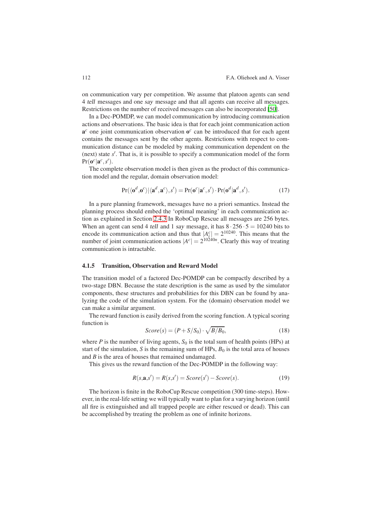112 F.A. Oliehoek and A. Visser

on communication vary per competition. We assume that platoon agents can send 4 tell messages and one say message and that all agents can receive all messages. Restrictions on the number of received messages can also be incorporated [50].

In a Dec-POMDP, we can model communication by introducing communication actions and observations. The basic idea is that for each joint communication action **a***<sup>c</sup>* one joint communication observation **o***<sup>c</sup>* can be introduced that for each agent contains the messages sent by the other agents. Restrictions with respect to communication distance can be modeled by making communication dependent on the (next) state *s* . That is, it is possible to specify a communication model of the form  $Pr(\mathbf{o}^c|\mathbf{a}^c,s')$ .

The complete observation model is then given as the product of this communication model and the regular, domain observation model:

$$
Pr(\langle \mathbf{o}^d, \mathbf{o}^c \rangle | \langle \mathbf{a}^d, \mathbf{a}^c \rangle, s') = Pr(\mathbf{o}^c | \mathbf{a}^c, s') \cdot Pr(\mathbf{o}^d | \mathbf{a}^d, s'). \tag{17}
$$

In a pure planning framework, messages have no a priori semantics. Instead the planning process should embed the 'optimal meaning' in each communication action as explained in Section 2.4.3 In RoboCup Rescue all messages are 256 bytes. When an agent can send 4 tell and 1 say message, it has  $8 \cdot 256 \cdot 5 = 10240$  bits to encode its communication action and thus that  $|A_i^c| = 2^{10240}$ . This means that the number of joint communication actions  $|A^c| = 2^{10240n}$ . Clearly this way of treating communication is intractable.

#### **4.1.5 Transition, Observation and Reward Model**

The transition model of a factored Dec-POMDP can be compactly described by a two-stage DBN. Because the state description is the same as used by the simulator components, these structures and probabilities for this DBN can be found by analyzing the code of the simulation system. For the (domain) observation model we can make a similar argument.

The reward function is easily derived from the scoring function. A typical scoring function is

$$
Score(s) = (P + S/S_0) \cdot \sqrt{B/B_0},\tag{18}
$$

where *P* is the number of living agents,  $S_0$  is the total sum of health points (HPs) at start of the simulation,  $S$  is the remaining sum of HPs,  $B_0$  is the total area of houses and *B* is the area of houses that remained undamaged.

This gives us the reward function of the Dec-POMDP in the following way:

$$
R(s, \mathbf{a}, s') = R(s, s') = Score(s') - Score(s). \tag{19}
$$

The horizon is finite in the RoboCup Rescue competition (300 time-steps). However, in the real-life setting we will typically want to plan for a varying horizon (until all fire is extinguished and all trapped people are either rescued or dead). This can be accomplished by treating the problem as one of infinite horizons.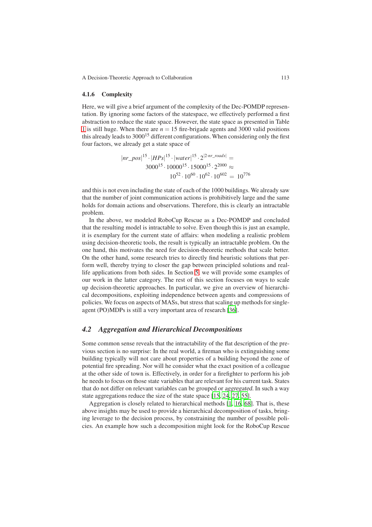#### **4.1.6 Complexity**

Here, we will give a brief argument of the complexity of the Dec-POMDP representation. By ignoring some factors of the statespace, we effectively performed a first abstraction to reduce the state space. However, the state space as presented in Table 1 is still huge. When there are  $n = 15$  fire-brigade agents and 3000 valid positions this already leads to  $3000^{15}$  different configurations. When considering only the first four factors, we already get a state space of

$$
|nr\_pos|^{15} \cdot |HPs|^{15} \cdot |water|^{15} \cdot 2^{|2 \cdot nr\_roads|} =
$$
  
3000<sup>15</sup> \cdot 10000<sup>15</sup> \cdot 15000<sup>15</sup> \cdot 2^{2000} \approx  
10<sup>52</sup> \cdot 10<sup>60</sup> \cdot 10<sup>62</sup> \cdot 10<sup>602</sup> = 10<sup>776</sup>

and this is not even including the state of each of the 1000 buildings. We already saw that the number of joint communication actions is prohibitively large and the same holds for domain actions and observations. Therefore, this is clearly an intractable problem.

In the above, we modeled RoboCup Rescue as a Dec-POMDP and concluded that the resulting model is intractable to solve. Even though this is just an example, it is exemplary for the current state of affairs: when modeling a realistic problem using decision-theoretic tools, the result is typically an intractable problem. On the one hand, this motivates the need for decision-theoretic methods that scale better. On the other hand, some research tries to directly find heuristic solutions that perform well, thereby trying to closer the gap between principled solutions and reallife applications from both sides. In Section 5, we will provide some examples of our work in the latter category. The rest of this section focuses on ways to scale up decision-theoretic approaches. In particular, we give an overview of hierarchical decompositions, exploiting independence between agents and compressions of policies. We focus on aspects of MASs, but stress that scaling up methods for singleagent (PO)MDPs is still a very important area of research [36].

#### *4.2 Aggregation and Hierarchical Decompositions*

Some common sense reveals that the intractability of the flat description of the previous section is no surprise: In the real world, a fireman who is extinguishing some building typically will not care about properties of a building beyond the zone of potential fire spreading. Nor will he consider what the exact position of a colleague at the other side of town is. Effectively, in order for a firefighter to perform his job he needs to focus on those state variables that are relevant for his current task. States that do not differ on relevant variables can be grouped or aggregated. In such a way state aggregations reduce the size of the state space [15, 24, 27, 55].

Aggregation is closely related to hierarchical methods [1, 16, 68]. That is, these above insights may be used to provide a hierarchical decomposition of tasks, bringing leverage to the decision process, by constraining the number of possible policies. An example how such a decomposition might look for the RoboCup Rescue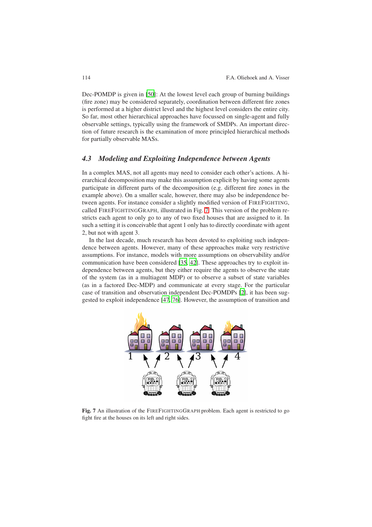Dec-POMDP is given in [50]: At the lowest level each group of burning buildings (fire zone) may be considered separately, coordination between different fire zones is performed at a higher district level and the highest level considers the entire city. So far, most other hierarchical approaches have focussed on single-agent and fully observable settings, typically using the framework of SMDPs. An important direction of future research is the examination of more principled hierarchical methods for partially observable MASs.

### *4.3 Modeling and Exploiting Independence between Agents*

In a complex MAS, not all agents may need to consider each other's actions. A hierarchical decomposition may make this assumption explicit by having some agents participate in different parts of the decomposition (e.g. different fire zones in the example above). On a smaller scale, however, there may also be independence between agents. For instance consider a slightly modified version of FIREFIGHTING, called FIREFIGHTINGGRAPH, illustrated in Fig. 7. This version of the problem restricts each agent to only go to any of two fixed houses that are assigned to it. In such a setting it is conceivable that agent 1 only has to directly coordinate with agent 2, but not with agent 3.

In the last decade, much research has been devoted to exploiting such independence between agents. However, many of these approaches make very restrictive assumptions. For instance, models with more assumptions on observability and/or communication have been considered [35, 42]. These approaches try to exploit independence between agents, but they either require the agents to observe the state of the system (as in a multiagent MDP) or to observe a subset of state variables (as in a factored Dec-MDP) and communicate at every stage. For the particular case of transition and observation independent Dec-POMDPs [2], it has been suggested to exploit independence [47, 76]. However, the assumption of transition and



**Fig. 7** An illustration of the FIREFIGHTINGGRAPH problem. Each agent is restricted to go fight fire at the houses on its left and right sides.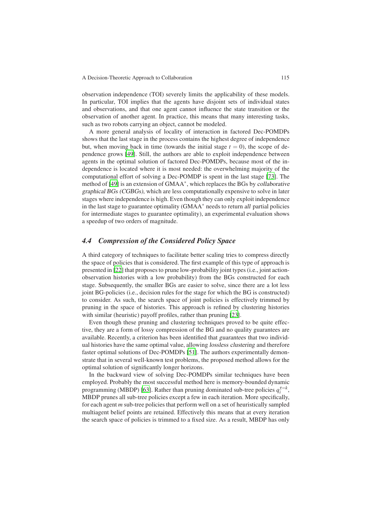observation independence (TOI) severely limits the applicability of these models. In particular, TOI implies that the agents have disjoint sets of individual states and observations, and that one agent cannot influence the state transition or the observation of another agent. In practice, this means that many interesting tasks, such as two robots carrying an object, cannot be modeled.

A more general analysis of locality of interaction in factored Dec-POMDPs shows that the last stage in the process contains the highest degree of independence but, when moving back in time (towards the initial stage  $t = 0$ ), the scope of dependence grows [49]. Still, the authors are able to exploit independence between agents in the optimal solution of factored Dec-POMDPs, because most of the independence is located where it is most needed: the overwhelming majority of the computational effort of solving a Dec-POMDP is spent in the last stage [73]. The method of [49] is an extension of GMAA∗, which replaces the BGs by collaborative graphical BGs (CGBGs), which are less computationally expensive to solve in later stages where independence is high. Even though they can only exploit independence in the last stage to guarantee optimality (GMAA<sup>∗</sup> needs to return all partial policies for intermediate stages to guarantee optimality), an experimental evaluation shows a speedup of two orders of magnitude.

### *4.4 Compression of the Considered Policy Space*

A third category of techniques to facilitate better scaling tries to compress directly the space of policies that is considered. The first example of this type of approach is presented in [22] that proposes to prune low-probability joint types (i.e., joint actionobservation histories with a low probability) from the BGs constructed for each stage. Subsequently, the smaller BGs are easier to solve, since there are a lot less joint BG-policies (i.e., decision rules for the stage for which the BG is constructed) to consider. As such, the search space of joint policies is effectively trimmed by pruning in the space of histories. This approach is refined by clustering histories with similar (heuristic) payoff profiles, rather than pruning [23].

Even though these pruning and clustering techniques proved to be quite effective, they are a form of lossy compression of the BG and no quality guarantees are available. Recently, a criterion has been identified that guarantees that two individual histories have the same optimal value, allowing lossless clustering and therefore faster optimal solutions of Dec-POMDPs [51]. The authors experimentally demonstrate that in several well-known test problems, the proposed method allows for the optimal solution of significantly longer horizons.

In the backward view of solving Dec-POMDPs similar techniques have been employed. Probably the most successful method here is memory-bounded dynamic programming (MBDP) [63]. Rather than pruning dominated sub-tree policies  $q_i^{\tau=k}$ , MBDP prunes all sub-tree policies except a few in each iteration. More specifically, for each agent *m* sub-tree policies that perform well on a set of heuristically sampled multiagent belief points are retained. Effectively this means that at every iteration the search space of policies is trimmed to a fixed size. As a result, MBDP has only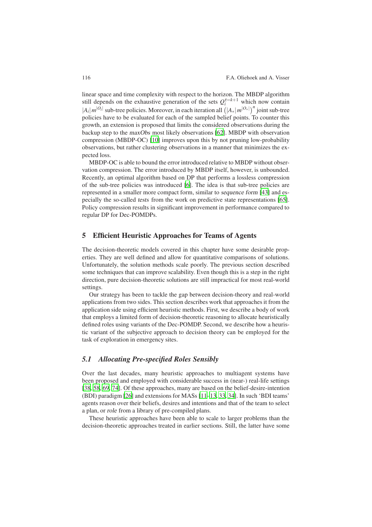linear space and time complexity with respect to the horizon. The MBDP algorithm still depends on the exhaustive generation of the sets  $Q_i^{\tau=k+1}$  which now contain  $|A_i| m^{|O_i|}$  sub-tree policies. Moreover, in each iteration all  $(|A_*| m^{|O_*|})^n$  joint sub-tree policies have to be evaluated for each of the sampled belief points. To counter this growth, an extension is proposed that limits the considered observations during the backup step to the maxObs most likely observations [62]. MBDP with observation compression (MBDP-OC) [10] improves upon this by not pruning low-probability observations, but rather clustering observations in a manner that minimizes the expected loss.

MBDP-OC is able to bound the error introduced relative to MBDP without observation compression. The error introduced by MBDP itself, however, is unbounded. Recently, an optimal algorithm based on DP that performs a lossless compression of the sub-tree policies was introduced [6]. The idea is that sub-tree policies are represented in a smaller more compact form, similar to sequence form [43] and especially the so-called tests from the work on predictive state representations [65]. Policy compression results in significant improvement in performance compared to regular DP for Dec-POMDPs.

### **5 Efficient Heuristic Approaches for Teams of Agents**

The decision-theoretic models covered in this chapter have some desirable properties. They are well defined and allow for quantitative comparisons of solutions. Unfortunately, the solution methods scale poorly. The previous section described some techniques that can improve scalability. Even though this is a step in the right direction, pure decision-theoretic solutions are still impractical for most real-world settings.

Our strategy has been to tackle the gap between decision-theory and real-world applications from two sides. This section describes work that approaches it from the application side using efficient heuristic methods. First, we describe a body of work that employs a limited form of decision-theoretic reasoning to allocate heuristically defined roles using variants of the Dec-POMDP. Second, we describe how a heuristic variant of the subjective approach to decision theory can be employed for the task of exploration in emergency sites.

### *5.1 Allocating Pre-specified Roles Sensibly*

Over the last decades, many heuristic approaches to multiagent systems have been proposed and employed with considerable success in (near-) real-life settings [38, 58, 69, 74]. Of these approaches, many are based on the belief-desire-intention (BDI) paradigm [26] and extensions for MASs [11–13, 33, 34]. In such 'BDI teams' agents reason over their beliefs, desires and intentions and that of the team to select a plan, or role from a library of pre-compiled plans.

These heuristic approaches have been able to scale to larger problems than the decision-theoretic approaches treated in earlier sections. Still, the latter have some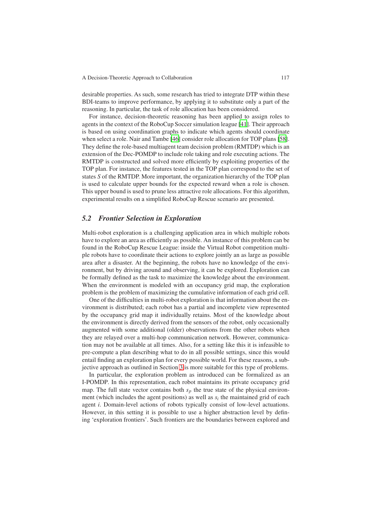desirable properties. As such, some research has tried to integrate DTP within these BDI-teams to improve performance, by applying it to substitute only a part of the reasoning. In particular, the task of role allocation has been considered.

For instance, decision-theoretic reasoning has been applied to assign roles to agents in the context of the RoboCup Soccer simulation league [41]. Their approach is based on using coordination graphs to indicate which agents should coordinate when select a role. Nair and Tambe [46] consider role allocation for TOP plans [58]. They define the role-based multiagent team decision problem (RMTDP) which is an extension of the Dec-POMDP to include role taking and role executing actions. The RMTDP is constructed and solved more efficiently by exploiting properties of the TOP plan. For instance, the features tested in the TOP plan correspond to the set of states *S* of the RMTDP. More important, the organization hierarchy of the TOP plan is used to calculate upper bounds for the expected reward when a role is chosen. This upper bound is used to prune less attractive role allocations. For this algorithm, experimental results on a simplified RoboCup Rescue scenario are presented.

#### *5.2 Frontier Selection in Exploration*

Multi-robot exploration is a challenging application area in which multiple robots have to explore an area as efficiently as possible. An instance of this problem can be found in the RoboCup Rescue League: inside the Virtual Robot competition multiple robots have to coordinate their actions to explore jointly an as large as possible area after a disaster. At the beginning, the robots have no knowledge of the environment, but by driving around and observing, it can be explored. Exploration can be formally defined as the task to maximize the knowledge about the environment. When the environment is modeled with an occupancy grid map, the exploration problem is the problem of maximizing the cumulative information of each grid cell.

One of the difficulties in multi-robot exploration is that information about the environment is distributed; each robot has a partial and incomplete view represented by the occupancy grid map it individually retains. Most of the knowledge about the environment is directly derived from the sensors of the robot, only occasionally augmented with some additional (older) observations from the other robots when they are relayed over a multi-hop communication network. However, communication may not be available at all times. Also, for a setting like this it is infeasible to pre-compute a plan describing what to do in all possible settings, since this would entail finding an exploration plan for every possible world. For these reasons, a subjective approach as outlined in Section 3 is more suitable for this type of problems.

In particular, the exploration problem as introduced can be formalized as an I-POMDP. In this representation, each robot maintains its private occupancy grid map. The full state vector contains both  $s_p$  the true state of the physical environment (which includes the agent positions) as well as  $s_i$  the maintained grid of each agent *i*. Domain-level actions of robots typically consist of low-level actuations. However, in this setting it is possible to use a higher abstraction level by defining 'exploration frontiers'. Such frontiers are the boundaries between explored and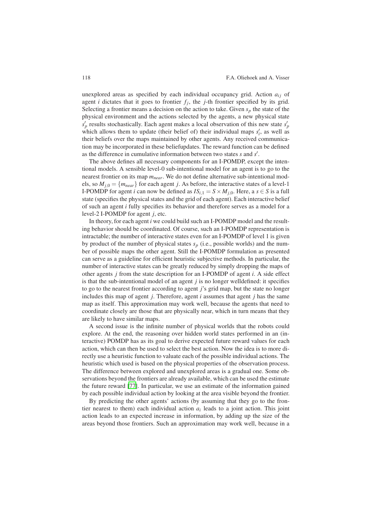unexplored areas as specified by each individual occupancy grid. Action  $a_{ij}$  of agent *i* dictates that it goes to frontier  $f_i$ , the *j*-th frontier specified by its grid. Selecting a frontier means a decision on the action to take. Given  $s_p$  the state of the physical environment and the actions selected by the agents, a new physical state  $s_p$  results stochastically. Each agent makes a local observation of this new state  $s_p$ which allows them to update (their belief of) their individual maps  $s_i'$ , as well as their beliefs over the maps maintained by other agents. Any received communication may be incorporated in these beliefupdates. The reward function can be defined as the difference in cumulative information between two states *s* and *s* .

The above defines all necessary components for an I-POMDP, except the intentional models. A sensible level-0 sub-intentional model for an agent is to go to the nearest frontier on its map *mnear*. We do not define alternative sub-intentional models, so  $M_{i,0} = \{m_{near}\}\$ for each agent *j*. As before, the interactive states of a level-1 I-POMDP for agent *i* can now be defined as  $IS_{i,1} = S \times M_{i,0}$ . Here, a  $s \in S$  is a full state (specifies the physical states and the grid of each agent). Each interactive belief of such an agent *i* fully specifies its behavior and therefore serves as a model for a level-2 I-POMDP for agent *j*, etc.

In theory, for each agent *i* we could build such an I-POMDP model and the resulting behavior should be coordinated. Of course, such an I-POMDP representation is intractable; the number of interactive states even for an I-POMDP of level 1 is given by product of the number of physical states  $s_p$  (i.e., possible worlds) and the number of possible maps the other agent. Still the I-POMDP formulation as presented can serve as a guideline for efficient heuristic subjective methods. In particular, the number of interactive states can be greatly reduced by simply dropping the maps of other agents *j* from the state description for an I-POMDP of agent *i*. A side effect is that the sub-intentional model of an agent *j* is no longer welldefined: it specifies to go to the nearest frontier according to agent *j*'s grid map, but the state no longer includes this map of agent *j*. Therefore, agent *i* assumes that agent *j* has the same map as itself. This approximation may work well, because the agents that need to coordinate closely are those that are physically near, which in turn means that they are likely to have similar maps.

A second issue is the infinite number of physical worlds that the robots could explore. At the end, the reasoning over hidden world states performed in an (interactive) POMDP has as its goal to derive expected future reward values for each action, which can then be used to select the best action. Now the idea is to more directly use a heuristic function to valuate each of the possible individual actions. The heuristic which used is based on the physical properties of the observation process. The difference between explored and unexplored areas is a gradual one. Some observations beyond the frontiers are already available, which can be used the estimate the future reward [77]. In particular, we use an estimate of the information gained by each possible individual action by looking at the area visible beyond the frontier.

By predicting the other agents' actions (by assuming that they go to the frontier nearest to them) each individual action  $a_i$  leads to a joint action. This joint action leads to an expected increase in information, by adding up the size of the areas beyond those frontiers. Such an approximation may work well, because in a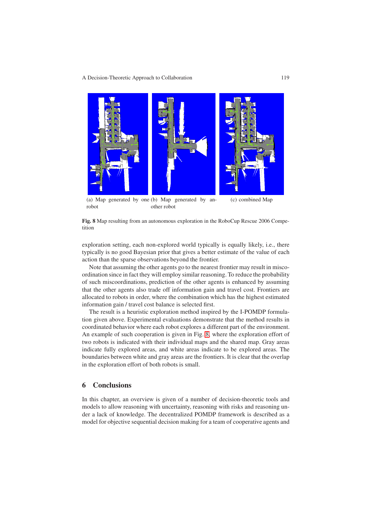

(a) Map generated by one (b) Map generated by anrobot other robot (c) combined Map

**Fig. 8** Map resulting from an autonomous exploration in the RoboCup Rescue 2006 Competition

exploration setting, each non-explored world typically is equally likely, i.e., there typically is no good Bayesian prior that gives a better estimate of the value of each action than the sparse observations beyond the frontier.

Note that assuming the other agents go to the nearest frontier may result in miscoordination since in fact they will employ similar reasoning. To reduce the probability of such miscoordinations, prediction of the other agents is enhanced by assuming that the other agents also trade off information gain and travel cost. Frontiers are allocated to robots in order, where the combination which has the highest estimated information gain / travel cost balance is selected first.

The result is a heuristic exploration method inspired by the I-POMDP formulation given above. Experimental evaluations demonstrate that the method results in coordinated behavior where each robot explores a different part of the environment. An example of such cooperation is given in Fig. 8, where the exploration effort of two robots is indicated with their individual maps and the shared map. Gray areas indicate fully explored areas, and white areas indicate to be explored areas. The boundaries between white and gray areas are the frontiers. It is clear that the overlap in the exploration effort of both robots is small.

#### **6 Conclusions**

In this chapter, an overview is given of a number of decision-theoretic tools and models to allow reasoning with uncertainty, reasoning with risks and reasoning under a lack of knowledge. The decentralized POMDP framework is described as a model for objective sequential decision making for a team of cooperative agents and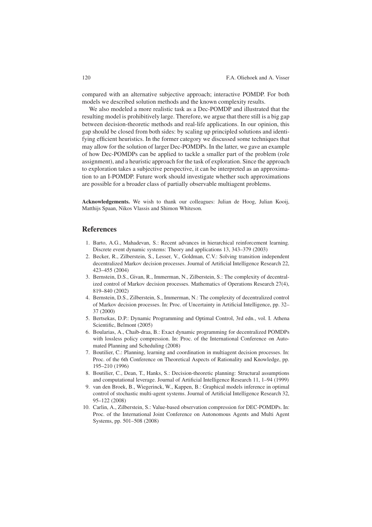compared with an alternative subjective approach; interactive POMDP. For both models we described solution methods and the known complexity results.

We also modeled a more realistic task as a Dec-POMDP and illustrated that the resulting model is prohibitively large. Therefore, we argue that there still is a big gap between decision-theoretic methods and real-life applications. In our opinion, this gap should be closed from both sides: by scaling up principled solutions and identifying efficient heuristics. In the former category we discussed some techniques that may allow for the solution of larger Dec-POMDPs. In the latter, we gave an example of how Dec-POMDPs can be applied to tackle a smaller part of the problem (role assignment), and a heuristic approach for the task of exploration. Since the approach to exploration takes a subjective perspective, it can be interpreted as an approximation to an I-POMDP. Future work should investigate whether such approximations are possible for a broader class of partially observable multiagent problems.

**Acknowledgements.** We wish to thank our colleagues: Julian de Hoog, Julian Kooij, Matthijs Spaan, Nikos Vlassis and Shimon Whiteson.

### **References**

- 1. Barto, A.G., Mahadevan, S.: Recent advances in hierarchical reinforcement learning. Discrete event dynamic systems: Theory and applications 13, 343–379 (2003)
- 2. Becker, R., Zilberstein, S., Lesser, V., Goldman, C.V.: Solving transition independent decentralized Markov decision processes. Journal of Artificial Intelligence Research 22, 423–455 (2004)
- 3. Bernstein, D.S., Givan, R., Immerman, N., Zilberstein, S.: The complexity of decentralized control of Markov decision processes. Mathematics of Operations Research 27(4), 819–840 (2002)
- 4. Bernstein, D.S., Zilberstein, S., Immerman, N.: The complexity of decentralized control of Markov decision processes. In: Proc. of Uncertainty in Artificial Intelligence, pp. 32– 37 (2000)
- 5. Bertsekas, D.P.: Dynamic Programming and Optimal Control, 3rd edn., vol. I. Athena Scientific, Belmont (2005)
- 6. Boularias, A., Chaib-draa, B.: Exact dynamic programming for decentralized POMDPs with lossless policy compression. In: Proc. of the International Conference on Automated Planning and Scheduling (2008)
- 7. Boutilier, C.: Planning, learning and coordination in multiagent decision processes. In: Proc. of the 6th Conference on Theoretical Aspects of Rationality and Knowledge, pp. 195–210 (1996)
- 8. Boutilier, C., Dean, T., Hanks, S.: Decision-theoretic planning: Structural assumptions and computational leverage. Journal of Artificial Intelligence Research 11, 1–94 (1999)
- 9. van den Broek, B., Wiegerinck, W., Kappen, B.: Graphical models inference in optimal control of stochastic multi-agent systems. Journal of Artificial Intelligence Research 32, 95–122 (2008)
- 10. Carlin, A., Zilberstein, S.: Value-based observation compression for DEC-POMDPs. In: Proc. of the International Joint Conference on Autonomous Agents and Multi Agent Systems, pp. 501–508 (2008)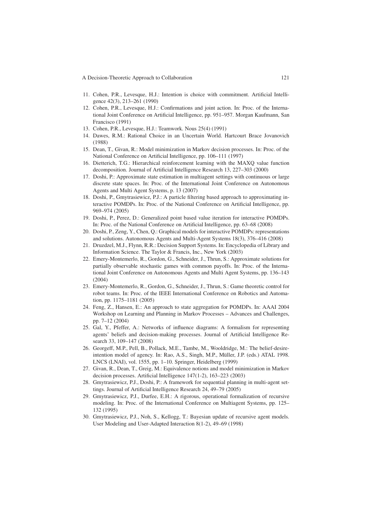- 11. Cohen, P.R., Levesque, H.J.: Intention is choice with commitment. Artificial Intelligence 42(3), 213–261 (1990)
- 12. Cohen, P.R., Levesque, H.J.: Confirmations and joint action. In: Proc. of the International Joint Conference on Artificial Intelligence, pp. 951–957. Morgan Kaufmann, San Francisco (1991)
- 13. Cohen, P.R., Levesque, H.J.: Teamwork. Nous 25(4) (1991)
- 14. Dawes, R.M.: Rational Choice in an Uncertain World. Hartcourt Brace Jovanovich (1988)
- 15. Dean, T., Givan, R.: Model minimization in Markov decision processes. In: Proc. of the National Conference on Artificial Intelligence, pp. 106–111 (1997)
- 16. Dietterich, T.G.: Hierarchical reinforcement learning with the MAXQ value function decomposition. Journal of Artificial Intelligence Research 13, 227–303 (2000)
- 17. Doshi, P.: Approximate state estimation in multiagent settings with continuous or large discrete state spaces. In: Proc. of the International Joint Conference on Autonomous Agents and Multi Agent Systems, p. 13 (2007)
- 18. Doshi, P., Gmytrasiewicz, P.J.: A particle filtering based approach to approximating interactive POMDPs. In: Proc. of the National Conference on Artificial Intelligence, pp. 969–974 (2005)
- 19. Doshi, P., Perez, D.: Generalized point based value iteration for interactive POMDPs. In: Proc. of the National Conference on Artificial Intelligence, pp. 63–68 (2008)
- 20. Doshi, P., Zeng, Y., Chen, Q.: Graphical models for interactive POMDPs: representations and solutions. Autonomous Agents and Multi-Agent Systems 18(3), 376–416 (2008)
- 21. Druzdzel, M.J., Flynn, R.R.: Decision Support Systems. In: Encyclopedia of Library and Information Science. The Taylor & Francis, Inc., New York (2003)
- 22. Emery-Montemerlo, R., Gordon, G., Schneider, J., Thrun, S.: Approximate solutions for partially observable stochastic games with common payoffs. In: Proc. of the International Joint Conference on Autonomous Agents and Multi Agent Systems, pp. 136–143 (2004)
- 23. Emery-Montemerlo, R., Gordon, G., Schneider, J., Thrun, S.: Game theoretic control for robot teams. In: Proc. of the IEEE International Conference on Robotics and Automation, pp. 1175–1181 (2005)
- 24. Feng, Z., Hansen, E.: An approach to state aggregation for POMDPs. In: AAAI 2004 Workshop on Learning and Planning in Markov Processes – Advances and Challenges, pp. 7–12 (2004)
- 25. Gal, Y., Pfeffer, A.: Networks of influence diagrams: A formalism for representing agents' beliefs and decision-making processes. Journal of Artificial Intelligence Research 33, 109–147 (2008)
- 26. Georgeff, M.P., Pell, B., Pollack, M.E., Tambe, M., Wooldridge, M.: The belief-desireintention model of agency. In: Rao, A.S., Singh, M.P., Müller, J.P. (eds.) ATAL 1998. LNCS (LNAI), vol. 1555, pp. 1–10. Springer, Heidelberg (1999)
- 27. Givan, R., Dean, T., Greig, M.: Equivalence notions and model minimization in Markov decision processes. Artificial Intelligence 147(1-2), 163–223 (2003)
- 28. Gmytrasiewicz, P.J., Doshi, P.: A framework for sequential planning in multi-agent settings. Journal of Artificial Intelligence Research 24, 49–79 (2005)
- 29. Gmytrasiewicz, P.J., Durfee, E.H.: A rigorous, operational formalization of recursive modeling. In: Proc. of the International Conference on Multiagent Systems, pp. 125– 132 (1995)
- 30. Gmytrasiewicz, P.J., Noh, S., Kellogg, T.: Bayesian update of recursive agent models. User Modeling and User-Adapted Interaction 8(1-2), 49–69 (1998)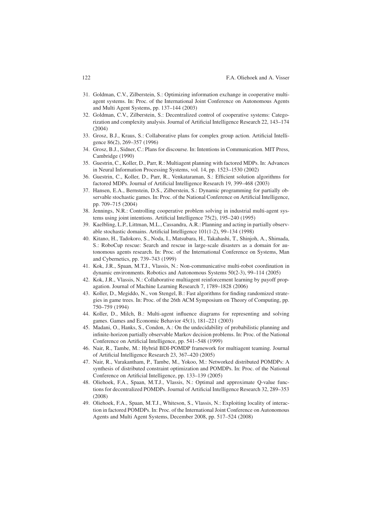- 31. Goldman, C.V., Zilberstein, S.: Optimizing information exchange in cooperative multiagent systems. In: Proc. of the International Joint Conference on Autonomous Agents and Multi Agent Systems, pp. 137–144 (2003)
- 32. Goldman, C.V., Zilberstein, S.: Decentralized control of cooperative systems: Categorization and complexity analysis. Journal of Artificial Intelligence Research 22, 143–174  $(2004)$
- 33. Grosz, B.J., Kraus, S.: Collaborative plans for complex group action. Artificial Intelligence 86(2), 269–357 (1996)
- 34. Grosz, B.J., Sidner, C.: Plans for discourse. In: Intentions in Communication. MIT Press, Cambridge (1990)
- 35. Guestrin, C., Koller, D., Parr, R.: Multiagent planning with factored MDPs. In: Advances in Neural Information Processing Systems, vol. 14, pp. 1523–1530 (2002)
- 36. Guestrin, C., Koller, D., Parr, R., Venkataraman, S.: Efficient solution algorithms for factored MDPs. Journal of Artificial Intelligence Research 19, 399–468 (2003)
- 37. Hansen, E.A., Bernstein, D.S., Zilberstein, S.: Dynamic programming for partially observable stochastic games. In: Proc. of the National Conference on Artificial Intelligence, pp. 709–715 (2004)
- 38. Jennings, N.R.: Controlling cooperative problem solving in industrial multi-agent systems using joint intentions. Artificial Intelligence 75(2), 195–240 (1995)
- 39. Kaelbling, L.P., Littman, M.L., Cassandra, A.R.: Planning and acting in partially observable stochastic domains. Artificial Intelligence 101(1-2), 99–134 (1998)
- 40. Kitano, H., Tadokoro, S., Noda, I., Matsubara, H., Takahashi, T., Shinjoh, A., Shimada, S.: RoboCup rescue: Search and rescue in large-scale disasters as a domain for autonomous agents research. In: Proc. of the International Conference on Systems, Man and Cybernetics, pp. 739–743 (1999)
- 41. Kok, J.R., Spaan, M.T.J., Vlassis, N.: Non-communicative multi-robot coordination in dynamic environments. Robotics and Autonomous Systems 50(2-3), 99–114 (2005)
- 42. Kok, J.R., Vlassis, N.: Collaborative multiagent reinforcement learning by payoff propagation. Journal of Machine Learning Research 7, 1789–1828 (2006)
- 43. Koller, D., Megiddo, N., von Stengel, B.: Fast algorithms for finding randomized strategies in game trees. In: Proc. of the 26th ACM Symposium on Theory of Computing, pp. 750–759 (1994)
- 44. Koller, D., Milch, B.: Multi-agent influence diagrams for representing and solving games. Games and Economic Behavior 45(1), 181–221 (2003)
- 45. Madani, O., Hanks, S., Condon, A.: On the undecidability of probabilistic planning and infinite-horizon partially observable Markov decision problems. In: Proc. of the National Conference on Artificial Intelligence, pp. 541–548 (1999)
- 46. Nair, R., Tambe, M.: Hybrid BDI-POMDP framework for multiagent teaming. Journal of Artificial Intelligence Research 23, 367–420 (2005)
- 47. Nair, R., Varakantham, P., Tambe, M., Yokoo, M.: Networked distributed POMDPs: A synthesis of distributed constraint optimization and POMDPs. In: Proc. of the National Conference on Artificial Intelligence, pp. 133–139 (2005)
- 48. Oliehoek, F.A., Spaan, M.T.J., Vlassis, N.: Optimal and approximate Q-value functions for decentralized POMDPs. Journal of Artificial Intelligence Research 32, 289–353 (2008)
- 49. Oliehoek, F.A., Spaan, M.T.J., Whiteson, S., Vlassis, N.: Exploiting locality of interaction in factored POMDPs. In: Proc. of the International Joint Conference on Autonomous Agents and Multi Agent Systems, December 2008, pp. 517–524 (2008)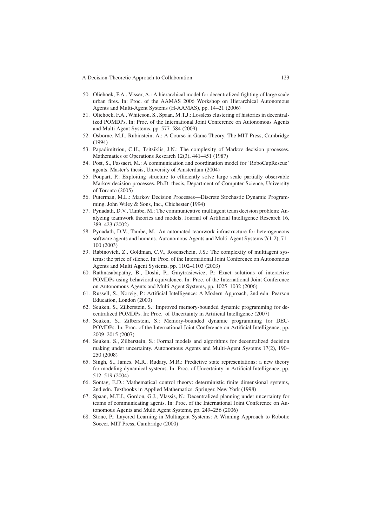- 50. Oliehoek, F.A., Visser, A.: A hierarchical model for decentralized fighting of large scale urban fires. In: Proc. of the AAMAS 2006 Workshop on Hierarchical Autonomous Agents and Multi-Agent Systems (H-AAMAS), pp. 14–21 (2006)
- 51. Oliehoek, F.A., Whiteson, S., Spaan, M.T.J.: Lossless clustering of histories in decentralized POMDPs. In: Proc. of the International Joint Conference on Autonomous Agents and Multi Agent Systems, pp. 577–584 (2009)
- 52. Osborne, M.J., Rubinstein, A.: A Course in Game Theory. The MIT Press, Cambridge  $(1994)$
- 53. Papadimitriou, C.H., Tsitsiklis, J.N.: The complexity of Markov decision processes. Mathematics of Operations Research 12(3), 441–451 (1987)
- 54. Post, S., Fassaert, M.: A communication and coordination model for 'RoboCupRescue' agents. Master's thesis, University of Amsterdam (2004)
- 55. Poupart, P.: Exploiting structure to efficiently solve large scale partially observable Markov decision processes. Ph.D. thesis, Department of Computer Science, University of Toronto (2005)
- 56. Puterman, M.L.: Markov Decision Processes—Discrete Stochastic Dynamic Programming. John Wiley & Sons, Inc., Chichester (1994)
- 57. Pynadath, D.V., Tambe, M.: The communicative multiagent team decision problem: Analyzing teamwork theories and models. Journal of Artificial Intelligence Research 16, 389–423 (2002)
- 58. Pynadath, D.V., Tambe, M.: An automated teamwork infrastructure for heterogeneous software agents and humans. Autonomous Agents and Multi-Agent Systems 7(1-2), 71– 100 (2003)
- 59. Rabinovich, Z., Goldman, C.V., Rosenschein, J.S.: The complexity of multiagent systems: the price of silence. In: Proc. of the International Joint Conference on Autonomous Agents and Multi Agent Systems, pp. 1102–1103 (2003)
- 60. Rathnasabapathy, B., Doshi, P., Gmytrasiewicz, P.: Exact solutions of interactive POMDPs using behavioral equivalence. In: Proc. of the International Joint Conference on Autonomous Agents and Multi Agent Systems, pp. 1025–1032 (2006)
- 61. Russell, S., Norvig, P.: Artificial Intelligence: A Modern Approach, 2nd edn. Pearson Education, London (2003)
- 62. Seuken, S., Zilberstein, S.: Improved memory-bounded dynamic programming for decentralized POMDPs. In: Proc. of Uncertainty in Artificial Intelligence (2007)
- 63. Seuken, S., Zilberstein, S.: Memory-bounded dynamic programming for DEC-POMDPs. In: Proc. of the International Joint Conference on Artificial Intelligence, pp. 2009–2015 (2007)
- 64. Seuken, S., Zilberstein, S.: Formal models and algorithms for decentralized decision making under uncertainty. Autonomous Agents and Multi-Agent Systems 17(2), 190– 250 (2008)
- 65. Singh, S., James, M.R., Rudary, M.R.: Predictive state representations: a new theory for modeling dynamical systems. In: Proc. of Uncertainty in Artificial Intelligence, pp. 512–519 (2004)
- 66. Sontag, E.D.: Mathematical control theory: deterministic finite dimensional systems, 2nd edn. Textbooks in Applied Mathematics. Springer, New York (1998)
- 67. Spaan, M.T.J., Gordon, G.J., Vlassis, N.: Decentralized planning under uncertainty for teams of communicating agents. In: Proc. of the International Joint Conference on Autonomous Agents and Multi Agent Systems, pp. 249–256 (2006)
- 68. Stone, P.: Layered Learning in Multiagent Systems: A Winning Approach to Robotic Soccer. MIT Press, Cambridge (2000)